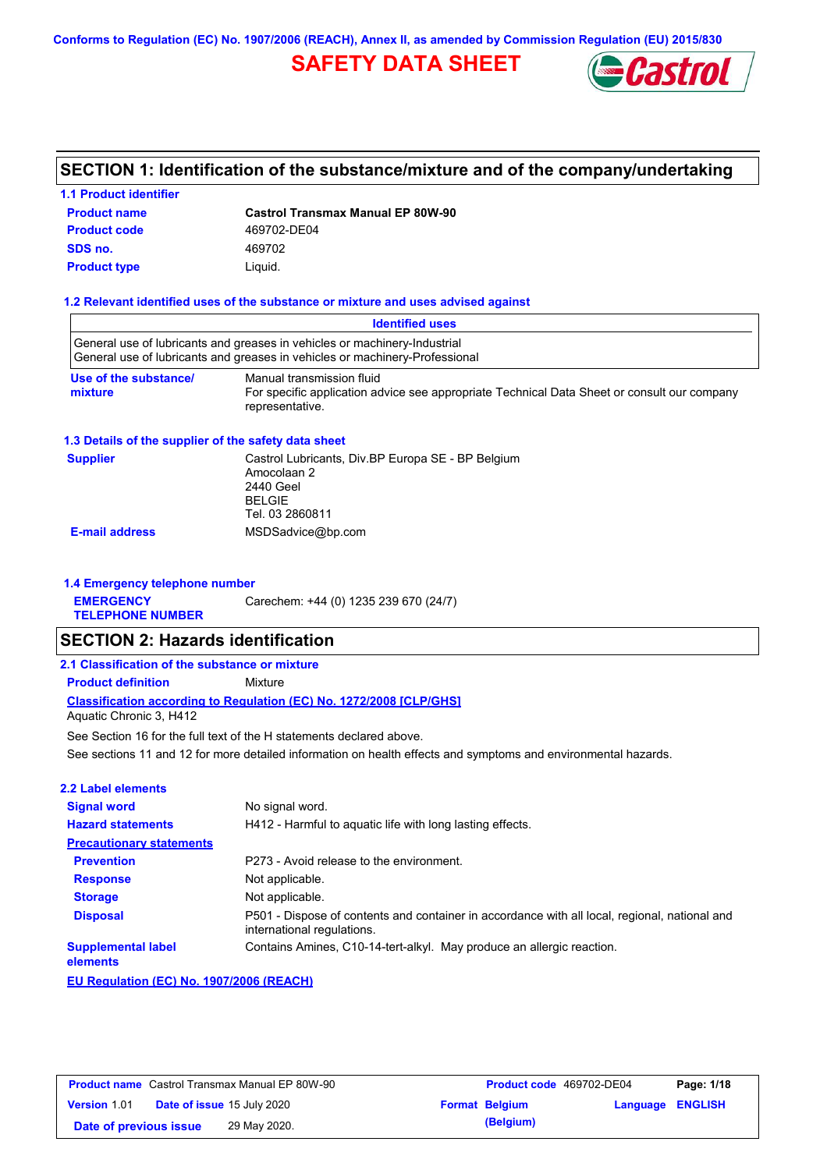# **SAFETY DATA SHEET**



# **SECTION 1: Identification of the substance/mixture and of the company/undertaking**

#### **Product nar 1.1 Product identifier**

| <b>Product name</b> | <b>Castrol Transmax Manual EP 80W-90</b> |
|---------------------|------------------------------------------|
| <b>Product code</b> | 469702-DE04                              |
| SDS no.             | 469702                                   |
| <b>Product type</b> | Liauid.                                  |

#### **1.2 Relevant identified uses of the substance or mixture and uses advised against**

|                                                      | <b>Identified uses</b>                                                                                                                                   |
|------------------------------------------------------|----------------------------------------------------------------------------------------------------------------------------------------------------------|
|                                                      | General use of lubricants and greases in vehicles or machinery-Industrial<br>General use of lubricants and greases in vehicles or machinery-Professional |
| Use of the substance/<br>mixture                     | Manual transmission fluid<br>For specific application advice see appropriate Technical Data Sheet or consult our company<br>representative.              |
| 1.3 Details of the supplier of the safety data sheet |                                                                                                                                                          |
| <b>Supplier</b>                                      | Castrol Lubricants, Div.BP Europa SE - BP Belgium<br>Amocolaan 2<br>2440 Geel<br><b>BELGIE</b><br>Tel. 03 2860811                                        |
| <b>E-mail address</b>                                | MSDSadvice@bp.com                                                                                                                                        |
| 1.4 Emergency telephone number                       |                                                                                                                                                          |
| <b>EMERGENCY</b><br><b>TELEPHONE NUMBER</b>          | Carechem: +44 (0) 1235 239 670 (24/7)                                                                                                                    |
| <b>SECTION 2: Hazards identification</b>             |                                                                                                                                                          |
| 2.1 Classification of the substance or mixture       |                                                                                                                                                          |
| <b>Product definition</b>                            | Mixture                                                                                                                                                  |
| Aquatic Chronic 3, H412                              | <b>Classification according to Regulation (EC) No. 1272/2008 [CLP/GHS]</b>                                                                               |
|                                                      | See Section 16 for the full text of the H statements declared above.                                                                                     |
|                                                      | See sections 11 and 12 for more detailed information on health effects and symptoms and environmental hazards.                                           |
| <b>2.2 Label elements</b>                            |                                                                                                                                                          |
| <b>Signal word</b>                                   | No signal word.                                                                                                                                          |
| <b>Hazard statements</b>                             | H412 - Harmful to aquatic life with long lasting effects.                                                                                                |
| <b>Precautionary statements</b>                      |                                                                                                                                                          |
| <b>Prevention</b>                                    | P273 - Avoid release to the environment.                                                                                                                 |
| <b>Response</b>                                      | Not applicable.                                                                                                                                          |
| <b>Storage</b>                                       | Not applicable.                                                                                                                                          |
| <b>Disposal</b>                                      | P501 - Dispose of contents and container in accordance with all local, regional, national and<br>international regulations.                              |
| <b>Supplemental label</b><br>elements                | Contains Amines, C10-14-tert-alkyl. May produce an allergic reaction.                                                                                    |

**EU Regulation (EC) No. 1907/2006 (REACH)**

|                        | <b>Product name</b> Castrol Transmax Manual EP 80W-90 | <b>Product code</b> 469702-DE04 |                         | Page: 1/18 |
|------------------------|-------------------------------------------------------|---------------------------------|-------------------------|------------|
| <b>Version 1.01</b>    | <b>Date of issue 15 July 2020</b>                     | <b>Format Belgium</b>           | <b>Language ENGLISH</b> |            |
| Date of previous issue | 29 May 2020.                                          | (Belgium)                       |                         |            |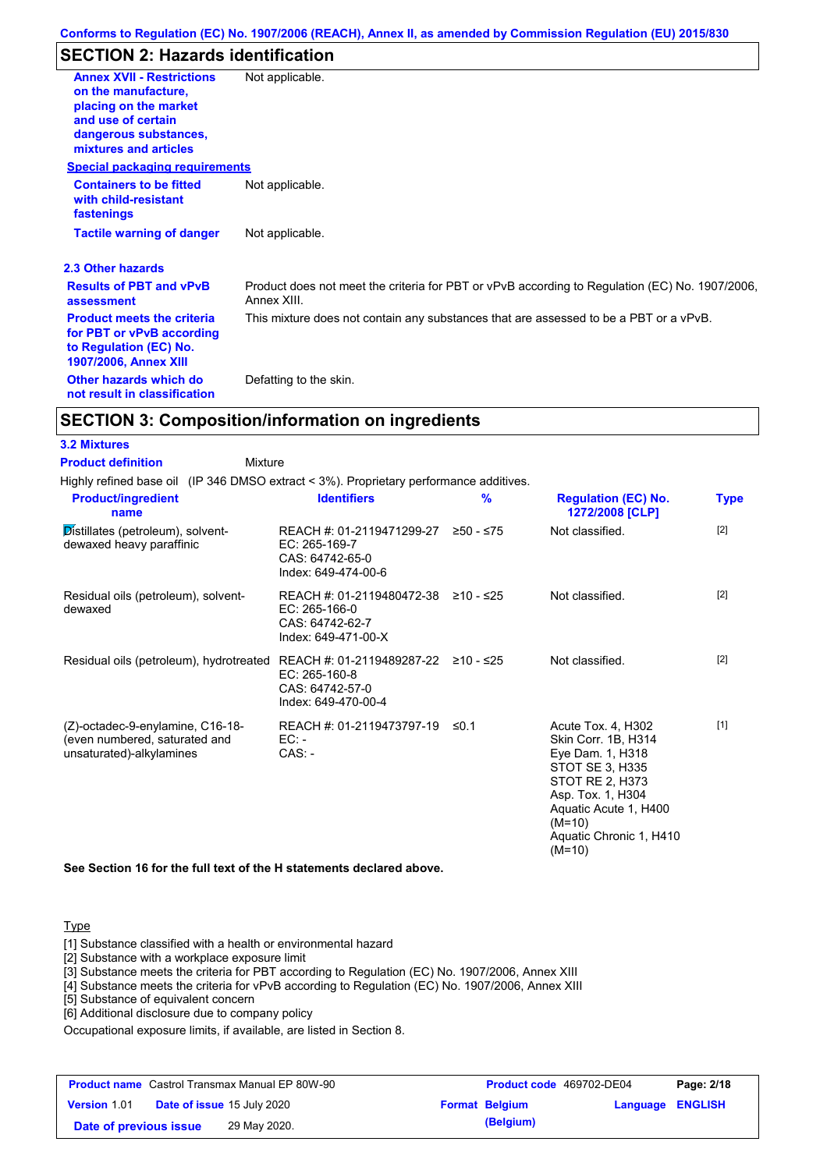# **SECTION 2: Hazards identification**

| <b>Annex XVII - Restrictions</b><br>on the manufacture.<br>placing on the market<br>and use of certain<br>dangerous substances,<br>mixtures and articles | Not applicable.                                                                                               |
|----------------------------------------------------------------------------------------------------------------------------------------------------------|---------------------------------------------------------------------------------------------------------------|
| <b>Special packaging requirements</b>                                                                                                                    |                                                                                                               |
| <b>Containers to be fitted</b><br>with child-resistant<br>fastenings                                                                                     | Not applicable.                                                                                               |
| <b>Tactile warning of danger</b>                                                                                                                         | Not applicable.                                                                                               |
| 2.3 Other hazards                                                                                                                                        |                                                                                                               |
| <b>Results of PBT and vPvB</b><br>assessment                                                                                                             | Product does not meet the criteria for PBT or vPvB according to Regulation (EC) No. 1907/2006,<br>Annex XIII. |
| <b>Product meets the criteria</b><br>for PBT or vPvB according<br>to Regulation (EC) No.<br><b>1907/2006, Annex XIII</b>                                 | This mixture does not contain any substances that are assessed to be a PBT or a vPvB.                         |
| Other hazards which do<br>not result in classification                                                                                                   | Defatting to the skin.                                                                                        |

# **SECTION 3: Composition/information on ingredients**

#### **3.2 Mixtures**

| <b>Product definition</b><br>Mixture                                                          |                                                                                                  |           |                                                                                                                                                               |             |
|-----------------------------------------------------------------------------------------------|--------------------------------------------------------------------------------------------------|-----------|---------------------------------------------------------------------------------------------------------------------------------------------------------------|-------------|
| Highly refined base oil (IP 346 DMSO extract < 3%). Proprietary performance additives.        |                                                                                                  |           |                                                                                                                                                               |             |
| <b>Product/ingredient</b><br>name                                                             | <b>Identifiers</b>                                                                               | %         | <b>Regulation (EC) No.</b><br>1272/2008 [CLP]                                                                                                                 | <b>Type</b> |
| Distillates (petroleum), solvent-<br>dewaxed heavy paraffinic                                 | REACH #: 01-2119471299-27<br>EC: 265-169-7<br>CAS: 64742-65-0<br>Index: 649-474-00-6             | 250 - ≤75 | Not classified.                                                                                                                                               | $[2]$       |
| Residual oils (petroleum), solvent-<br>dewaxed                                                | REACH #: 01-2119480472-38 ≥10 - ≤25<br>$EC: 265-166-0$<br>CAS: 64742-62-7<br>Index: 649-471-00-X |           | Not classified.                                                                                                                                               | $[2]$       |
| Residual oils (petroleum), hydrotreated                                                       | REACH #: 01-2119489287-22 ≥10 - ≤25<br>EC: 265-160-8<br>CAS: 64742-57-0<br>Index: 649-470-00-4   |           | Not classified.                                                                                                                                               | $[2]$       |
| (Z)-octadec-9-enylamine, C16-18-<br>(even numbered, saturated and<br>unsaturated)-alkylamines | REACH #: 01-2119473797-19<br>EC: -<br>$CAS: -$                                                   | ≤0.1      | Acute Tox. 4, H302<br>Skin Corr. 1B, H314<br>Eye Dam. 1, H318<br>STOT SE 3, H335<br>STOT RE 2, H373<br>Asp. Tox. 1, H304<br>Aquatic Acute 1, H400<br>$(M=10)$ | $[1]$       |

Aquatic Chronic 1, H410

(M=10)

**See Section 16 for the full text of the H statements declared above.**

#### **Type**

[1] Substance classified with a health or environmental hazard

[2] Substance with a workplace exposure limit

[3] Substance meets the criteria for PBT according to Regulation (EC) No. 1907/2006, Annex XIII

[4] Substance meets the criteria for vPvB according to Regulation (EC) No. 1907/2006, Annex XIII

[5] Substance of equivalent concern

[6] Additional disclosure due to company policy

Occupational exposure limits, if available, are listed in Section 8.

|                        | <b>Product name</b> Castrol Transmax Manual EP 80W-90 | <b>Product code</b> 469702-DE04 |                  | Page: 2/18 |
|------------------------|-------------------------------------------------------|---------------------------------|------------------|------------|
| <b>Version 1.01</b>    | <b>Date of issue 15 July 2020</b>                     | <b>Format Belgium</b>           | Language ENGLISH |            |
| Date of previous issue | 29 May 2020.                                          | (Belgium)                       |                  |            |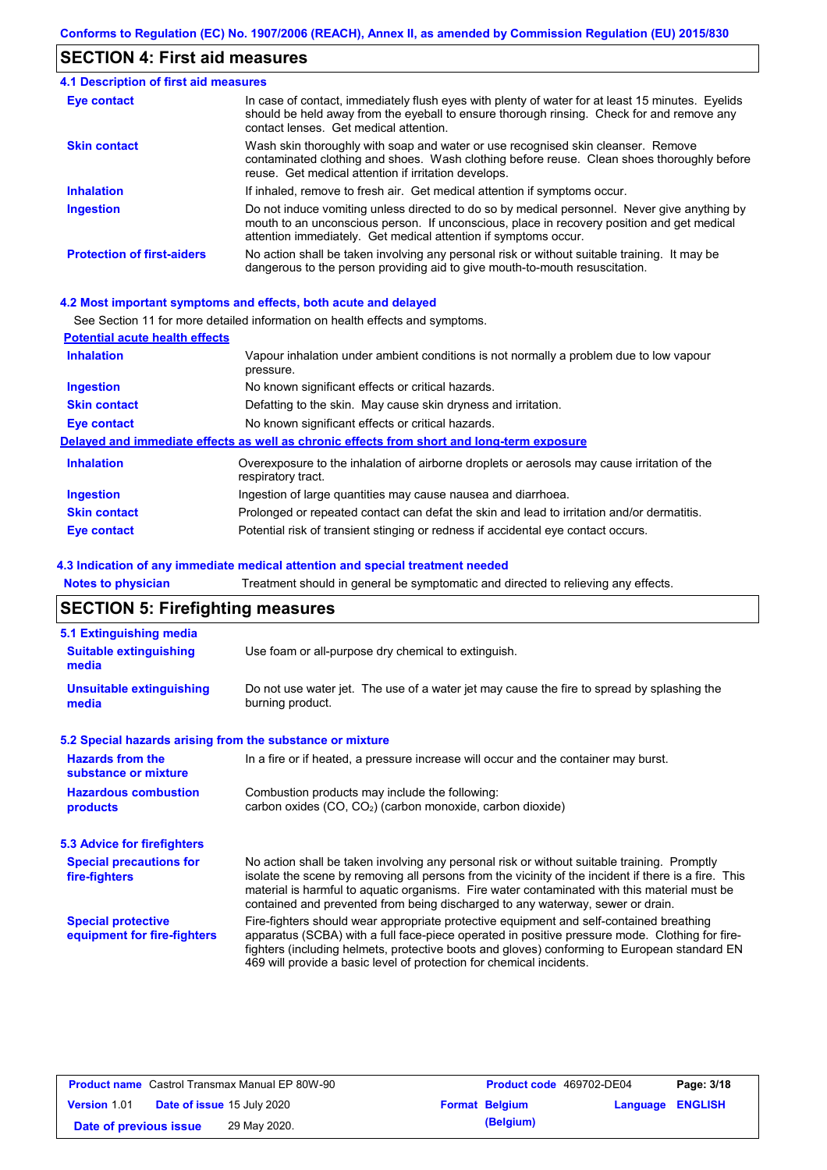### **SECTION 4: First aid measures**

| <b>4.1 Description of first aid measures</b> |                                                                                                                                                                                                                                                               |
|----------------------------------------------|---------------------------------------------------------------------------------------------------------------------------------------------------------------------------------------------------------------------------------------------------------------|
| Eye contact                                  | In case of contact, immediately flush eyes with plenty of water for at least 15 minutes. Eyelids<br>should be held away from the eyeball to ensure thorough rinsing. Check for and remove any<br>contact lenses. Get medical attention.                       |
| <b>Skin contact</b>                          | Wash skin thoroughly with soap and water or use recognised skin cleanser. Remove<br>contaminated clothing and shoes. Wash clothing before reuse. Clean shoes thoroughly before<br>reuse. Get medical attention if irritation develops.                        |
| <b>Inhalation</b>                            | If inhaled, remove to fresh air. Get medical attention if symptoms occur.                                                                                                                                                                                     |
| <b>Ingestion</b>                             | Do not induce vomiting unless directed to do so by medical personnel. Never give anything by<br>mouth to an unconscious person. If unconscious, place in recovery position and get medical<br>attention immediately. Get medical attention if symptoms occur. |
| <b>Protection of first-aiders</b>            | No action shall be taken involving any personal risk or without suitable training. It may be<br>dangerous to the person providing aid to give mouth-to-mouth resuscitation.                                                                                   |

#### **4.2 Most important symptoms and effects, both acute and delayed**

See Section 11 for more detailed information on health effects and symptoms.

| <b>Potential acute health effects</b> |                                                                                                                   |
|---------------------------------------|-------------------------------------------------------------------------------------------------------------------|
| <b>Inhalation</b>                     | Vapour inhalation under ambient conditions is not normally a problem due to low vapour<br>pressure.               |
| <b>Ingestion</b>                      | No known significant effects or critical hazards.                                                                 |
| <b>Skin contact</b>                   | Defatting to the skin. May cause skin dryness and irritation.                                                     |
| Eye contact                           | No known significant effects or critical hazards.                                                                 |
|                                       | Delayed and immediate effects as well as chronic effects from short and long-term exposure                        |
| <b>Inhalation</b>                     | Overexposure to the inhalation of airborne droplets or aerosols may cause irritation of the<br>respiratory tract. |
| <b>Ingestion</b>                      | Ingestion of large quantities may cause nausea and diarrhoea.                                                     |
| <b>Skin contact</b>                   | Prolonged or repeated contact can defat the skin and lead to irritation and/or dermatitis.                        |
| Eye contact                           | Potential risk of transient stinging or redness if accidental eye contact occurs.                                 |

#### **4.3 Indication of any immediate medical attention and special treatment needed**

**Notes to physician** Treatment should in general be symptomatic and directed to relieving any effects.

# **SECTION 5: Firefighting measures**

| 5.1 Extinguishing media                                   |                                                                                                                                                                                                                                                                                                                                                                                       |  |  |  |  |
|-----------------------------------------------------------|---------------------------------------------------------------------------------------------------------------------------------------------------------------------------------------------------------------------------------------------------------------------------------------------------------------------------------------------------------------------------------------|--|--|--|--|
| <b>Suitable extinguishing</b><br>media                    | Use foam or all-purpose dry chemical to extinguish.                                                                                                                                                                                                                                                                                                                                   |  |  |  |  |
| <b>Unsuitable extinguishing</b><br>media                  | Do not use water jet. The use of a water jet may cause the fire to spread by splashing the<br>burning product.                                                                                                                                                                                                                                                                        |  |  |  |  |
| 5.2 Special hazards arising from the substance or mixture |                                                                                                                                                                                                                                                                                                                                                                                       |  |  |  |  |
| <b>Hazards from the</b><br>substance or mixture           | In a fire or if heated, a pressure increase will occur and the container may burst.                                                                                                                                                                                                                                                                                                   |  |  |  |  |
| <b>Hazardous combustion</b>                               | Combustion products may include the following:                                                                                                                                                                                                                                                                                                                                        |  |  |  |  |
| products                                                  | carbon oxides (CO, CO <sub>2</sub> ) (carbon monoxide, carbon dioxide)                                                                                                                                                                                                                                                                                                                |  |  |  |  |
| 5.3 Advice for firefighters                               |                                                                                                                                                                                                                                                                                                                                                                                       |  |  |  |  |
| <b>Special precautions for</b><br>fire-fighters           | No action shall be taken involving any personal risk or without suitable training. Promptly<br>isolate the scene by removing all persons from the vicinity of the incident if there is a fire. This<br>material is harmful to aquatic organisms. Fire water contaminated with this material must be<br>contained and prevented from being discharged to any waterway, sewer or drain. |  |  |  |  |
| <b>Special protective</b><br>equipment for fire-fighters  | Fire-fighters should wear appropriate protective equipment and self-contained breathing<br>apparatus (SCBA) with a full face-piece operated in positive pressure mode. Clothing for fire-<br>fighters (including helmets, protective boots and gloves) conforming to European standard EN<br>469 will provide a basic level of protection for chemical incidents.                     |  |  |  |  |

|                        | <b>Product name</b> Castrol Transmax Manual EP 80W-90 | <b>Product code</b> 469702-DE04 |                  | Page: 3/18 |
|------------------------|-------------------------------------------------------|---------------------------------|------------------|------------|
| Version 1.01           | <b>Date of issue 15 July 2020</b>                     | <b>Format Belgium</b>           | Language ENGLISH |            |
| Date of previous issue | 29 May 2020.                                          | (Belgium)                       |                  |            |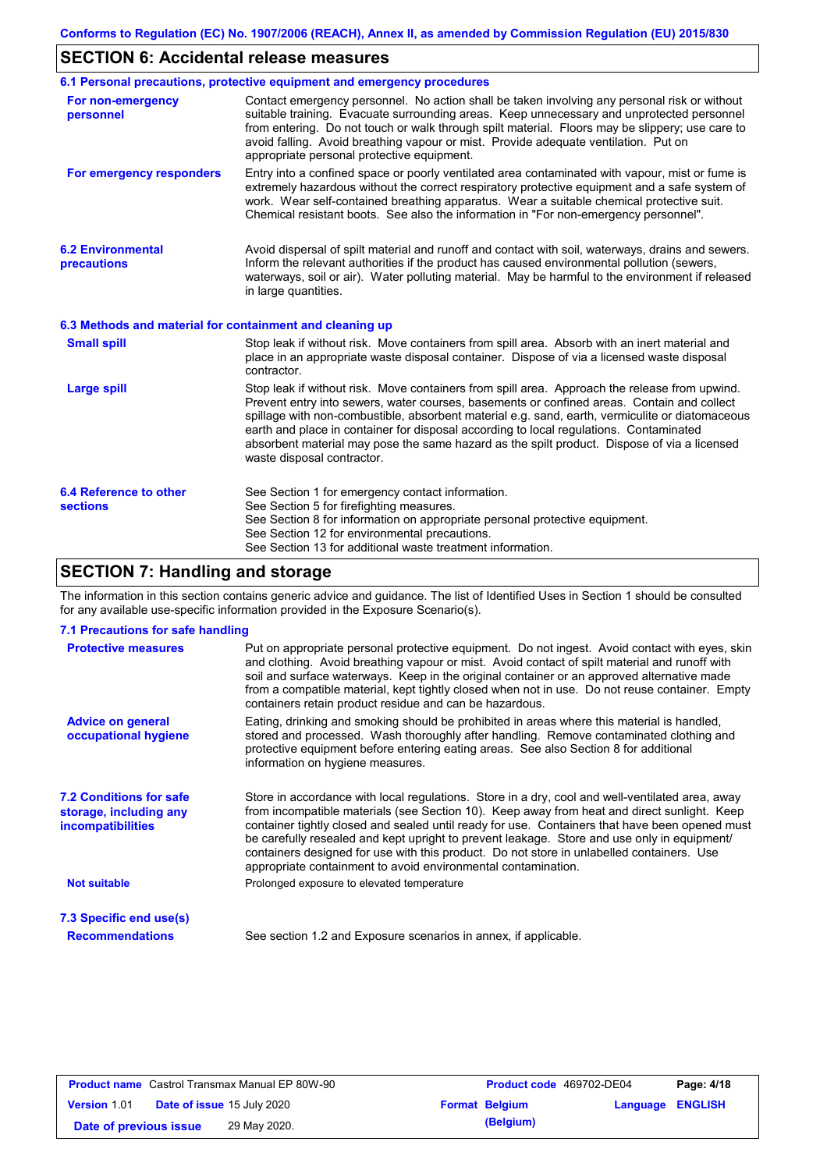# **SECTION 6: Accidental release measures**

|                                                  | 6.1 Personal precautions, protective equipment and emergency procedures                                                                                                                                                                                                                                                                                                                                                                                                                                               |
|--------------------------------------------------|-----------------------------------------------------------------------------------------------------------------------------------------------------------------------------------------------------------------------------------------------------------------------------------------------------------------------------------------------------------------------------------------------------------------------------------------------------------------------------------------------------------------------|
| For non-emergency<br>personnel                   | Contact emergency personnel. No action shall be taken involving any personal risk or without<br>suitable training. Evacuate surrounding areas. Keep unnecessary and unprotected personnel<br>from entering. Do not touch or walk through spilt material. Floors may be slippery; use care to<br>avoid falling. Avoid breathing vapour or mist. Provide adequate ventilation. Put on<br>appropriate personal protective equipment.                                                                                     |
| For emergency responders                         | Entry into a confined space or poorly ventilated area contaminated with vapour, mist or fume is<br>extremely hazardous without the correct respiratory protective equipment and a safe system of<br>work. Wear self-contained breathing apparatus. Wear a suitable chemical protective suit.<br>Chemical resistant boots. See also the information in "For non-emergency personnel".                                                                                                                                  |
| <b>6.2 Environmental</b><br><b>precautions</b>   | Avoid dispersal of spilt material and runoff and contact with soil, waterways, drains and sewers.<br>Inform the relevant authorities if the product has caused environmental pollution (sewers,<br>waterways, soil or air). Water polluting material. May be harmful to the environment if released<br>in large quantities.                                                                                                                                                                                           |
|                                                  | 6.3 Methods and material for containment and cleaning up                                                                                                                                                                                                                                                                                                                                                                                                                                                              |
| <b>Small spill</b>                               | Stop leak if without risk. Move containers from spill area. Absorb with an inert material and<br>place in an appropriate waste disposal container. Dispose of via a licensed waste disposal<br>contractor.                                                                                                                                                                                                                                                                                                            |
| <b>Large spill</b>                               | Stop leak if without risk. Move containers from spill area. Approach the release from upwind.<br>Prevent entry into sewers, water courses, basements or confined areas. Contain and collect<br>spillage with non-combustible, absorbent material e.g. sand, earth, vermiculite or diatomaceous<br>earth and place in container for disposal according to local regulations. Contaminated<br>absorbent material may pose the same hazard as the spilt product. Dispose of via a licensed<br>waste disposal contractor. |
| <b>6.4 Reference to other</b><br><b>sections</b> | See Section 1 for emergency contact information.<br>See Section 5 for firefighting measures.<br>See Section 8 for information on appropriate personal protective equipment.<br>See Section 12 for environmental precautions.<br>See Section 13 for additional waste treatment information.                                                                                                                                                                                                                            |

# **SECTION 7: Handling and storage**

The information in this section contains generic advice and guidance. The list of Identified Uses in Section 1 should be consulted for any available use-specific information provided in the Exposure Scenario(s).

| 7.1 Precautions for safe handling                                                    |                                                                                                                                                                                                                                                                                                                                                                                                                                                                                                                                                               |
|--------------------------------------------------------------------------------------|---------------------------------------------------------------------------------------------------------------------------------------------------------------------------------------------------------------------------------------------------------------------------------------------------------------------------------------------------------------------------------------------------------------------------------------------------------------------------------------------------------------------------------------------------------------|
| <b>Protective measures</b>                                                           | Put on appropriate personal protective equipment. Do not ingest. Avoid contact with eyes, skin<br>and clothing. Avoid breathing vapour or mist. Avoid contact of spilt material and runoff with<br>soil and surface waterways. Keep in the original container or an approved alternative made<br>from a compatible material, kept tightly closed when not in use. Do not reuse container. Empty<br>containers retain product residue and can be hazardous.                                                                                                    |
| <b>Advice on general</b><br>occupational hygiene                                     | Eating, drinking and smoking should be prohibited in areas where this material is handled,<br>stored and processed. Wash thoroughly after handling. Remove contaminated clothing and<br>protective equipment before entering eating areas. See also Section 8 for additional<br>information on hygiene measures.                                                                                                                                                                                                                                              |
| <b>7.2 Conditions for safe</b><br>storage, including any<br><i>incompatibilities</i> | Store in accordance with local regulations. Store in a dry, cool and well-ventilated area, away<br>from incompatible materials (see Section 10). Keep away from heat and direct sunlight. Keep<br>container tightly closed and sealed until ready for use. Containers that have been opened must<br>be carefully resealed and kept upright to prevent leakage. Store and use only in equipment/<br>containers designed for use with this product. Do not store in unlabelled containers. Use<br>appropriate containment to avoid environmental contamination. |
| <b>Not suitable</b>                                                                  | Prolonged exposure to elevated temperature                                                                                                                                                                                                                                                                                                                                                                                                                                                                                                                    |
| 7.3 Specific end use(s)                                                              |                                                                                                                                                                                                                                                                                                                                                                                                                                                                                                                                                               |
| <b>Recommendations</b>                                                               | See section 1.2 and Exposure scenarios in annex, if applicable.                                                                                                                                                                                                                                                                                                                                                                                                                                                                                               |

| <b>Product name</b> Castrol Transmax Manual EP 80W-90 |                                   | Product code 469702-DE04 |                         | Page: 4/18 |
|-------------------------------------------------------|-----------------------------------|--------------------------|-------------------------|------------|
| <b>Version 1.01</b>                                   | <b>Date of issue 15 July 2020</b> | <b>Format Belgium</b>    | <b>Language ENGLISH</b> |            |
| Date of previous issue                                | 29 May 2020.                      | (Belgium)                |                         |            |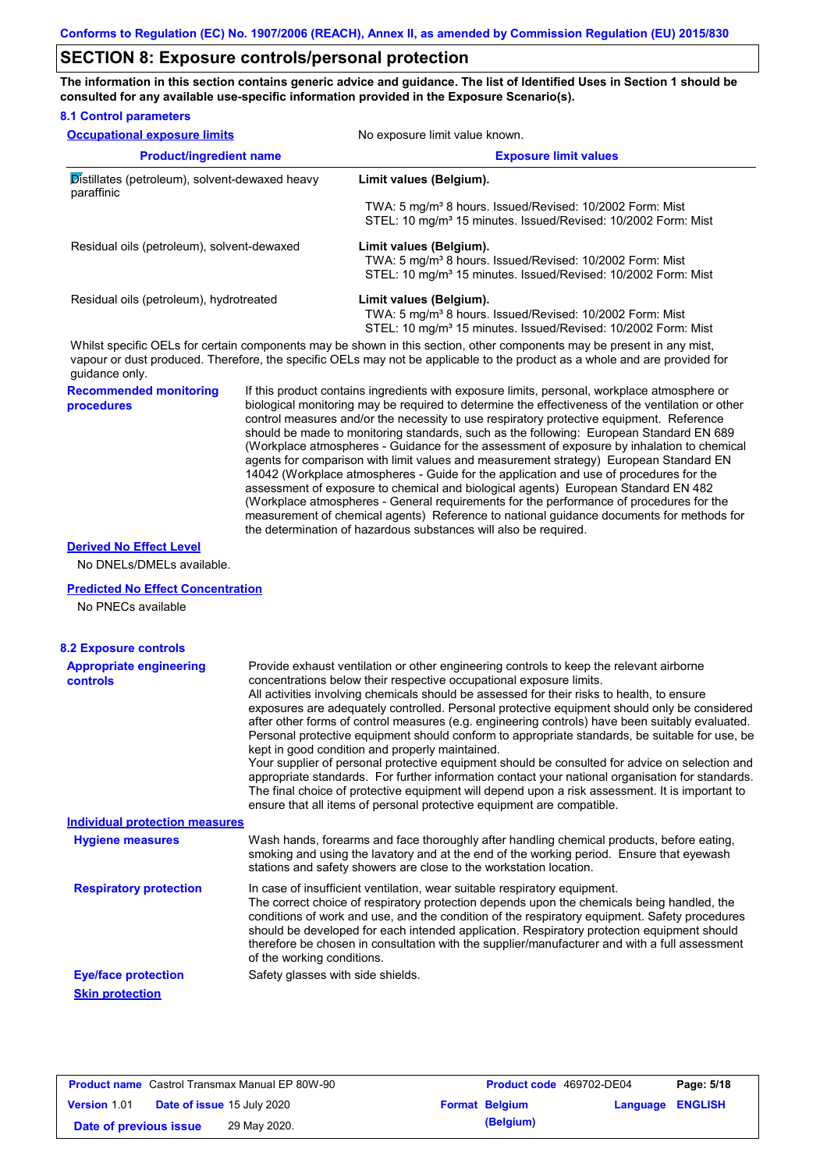#### **SECTION 8: Exposure controls/personal protection**

**The information in this section contains generic advice and guidance. The list of Identified Uses in Section 1 should be consulted for any available use-specific information provided in the Exposure Scenario(s).**

| <b>Occupational exposure limits</b>                                                                                                                   |  | No exposure limit value known.                                                                                                                                                                                                                                                                                                                                                                                                                                                                                                                                                                                                                                                                                                                                                                                                                                                                                                                                                                                             |  |  |
|-------------------------------------------------------------------------------------------------------------------------------------------------------|--|----------------------------------------------------------------------------------------------------------------------------------------------------------------------------------------------------------------------------------------------------------------------------------------------------------------------------------------------------------------------------------------------------------------------------------------------------------------------------------------------------------------------------------------------------------------------------------------------------------------------------------------------------------------------------------------------------------------------------------------------------------------------------------------------------------------------------------------------------------------------------------------------------------------------------------------------------------------------------------------------------------------------------|--|--|
| <b>Product/ingredient name</b>                                                                                                                        |  | <b>Exposure limit values</b>                                                                                                                                                                                                                                                                                                                                                                                                                                                                                                                                                                                                                                                                                                                                                                                                                                                                                                                                                                                               |  |  |
| Distillates (petroleum), solvent-dewaxed heavy<br>paraffinic<br>Residual oils (petroleum), solvent-dewaxed<br>Residual oils (petroleum), hydrotreated |  | Limit values (Belgium).                                                                                                                                                                                                                                                                                                                                                                                                                                                                                                                                                                                                                                                                                                                                                                                                                                                                                                                                                                                                    |  |  |
|                                                                                                                                                       |  | TWA: 5 mg/m <sup>3</sup> 8 hours. Issued/Revised: 10/2002 Form: Mist<br>STEL: 10 mg/m <sup>3</sup> 15 minutes. Issued/Revised: 10/2002 Form: Mist                                                                                                                                                                                                                                                                                                                                                                                                                                                                                                                                                                                                                                                                                                                                                                                                                                                                          |  |  |
|                                                                                                                                                       |  | Limit values (Belgium).<br>TWA: 5 mg/m <sup>3</sup> 8 hours. Issued/Revised: 10/2002 Form: Mist<br>STEL: 10 mg/m <sup>3</sup> 15 minutes. Issued/Revised: 10/2002 Form: Mist                                                                                                                                                                                                                                                                                                                                                                                                                                                                                                                                                                                                                                                                                                                                                                                                                                               |  |  |
|                                                                                                                                                       |  | Limit values (Belgium).<br>TWA: 5 mg/m <sup>3</sup> 8 hours. Issued/Revised: 10/2002 Form: Mist<br>STEL: 10 mg/m <sup>3</sup> 15 minutes. Issued/Revised: 10/2002 Form: Mist                                                                                                                                                                                                                                                                                                                                                                                                                                                                                                                                                                                                                                                                                                                                                                                                                                               |  |  |
| guidance only.                                                                                                                                        |  | Whilst specific OELs for certain components may be shown in this section, other components may be present in any mist,<br>vapour or dust produced. Therefore, the specific OELs may not be applicable to the product as a whole and are provided for                                                                                                                                                                                                                                                                                                                                                                                                                                                                                                                                                                                                                                                                                                                                                                       |  |  |
| <b>Recommended monitoring</b><br>procedures                                                                                                           |  | If this product contains ingredients with exposure limits, personal, workplace atmosphere or<br>biological monitoring may be required to determine the effectiveness of the ventilation or other<br>control measures and/or the necessity to use respiratory protective equipment. Reference<br>should be made to monitoring standards, such as the following: European Standard EN 689<br>(Workplace atmospheres - Guidance for the assessment of exposure by inhalation to chemical<br>agents for comparison with limit values and measurement strategy) European Standard EN<br>14042 (Workplace atmospheres - Guide for the application and use of procedures for the<br>assessment of exposure to chemical and biological agents) European Standard EN 482<br>(Workplace atmospheres - General requirements for the performance of procedures for the<br>measurement of chemical agents) Reference to national guidance documents for methods for<br>the determination of hazardous substances will also be required. |  |  |
| <b>Derived No Effect Level</b><br>No DNELs/DMELs available.                                                                                           |  |                                                                                                                                                                                                                                                                                                                                                                                                                                                                                                                                                                                                                                                                                                                                                                                                                                                                                                                                                                                                                            |  |  |
| <b>Predicted No Effect Concentration</b><br>No PNECs available                                                                                        |  |                                                                                                                                                                                                                                                                                                                                                                                                                                                                                                                                                                                                                                                                                                                                                                                                                                                                                                                                                                                                                            |  |  |
| <b>8.2 Exposure controls</b>                                                                                                                          |  |                                                                                                                                                                                                                                                                                                                                                                                                                                                                                                                                                                                                                                                                                                                                                                                                                                                                                                                                                                                                                            |  |  |
| <b>Appropriate engineering</b><br><b>controls</b>                                                                                                     |  | Provide exhaust ventilation or other engineering controls to keep the relevant airborne<br>concentrations below their respective occupational exposure limits.<br>All activities involving chemicals should be assessed for their risks to health, to ensure<br>exposures are adequately controlled. Personal protective equipment should only be considered                                                                                                                                                                                                                                                                                                                                                                                                                                                                                                                                                                                                                                                               |  |  |

Personal protective equipment should conform to appropriate standards, be suitable for use, be kept in good condition and properly maintained. Your supplier of personal protective equipment should be consulted for advice on selection and appropriate standards. For further information contact your national organisation for standards. The final choice of protective equipment will depend upon a risk assessment. It is important to ensure that all items of personal protective equipment are compatible. Wash hands, forearms and face thoroughly after handling chemical products, before eating, smoking and using the lavatory and at the end of the working period. Ensure that eyewash **Hygiene measures Individual protection measures**

after other forms of control measures (e.g. engineering controls) have been suitably evaluated.

In case of insufficient ventilation, wear suitable respiratory equipment. The correct choice of respiratory protection depends upon the chemicals being handled, the conditions of work and use, and the condition of the respiratory equipment. Safety procedures should be developed for each intended application. Respiratory protection equipment should therefore be chosen in consultation with the supplier/manufacturer and with a full assessment of the working conditions. **Eye/face protection** Safety glasses with side shields. **Respiratory protection** stations and safety showers are close to the workstation location.

# **Skin protection**

|                        | <b>Product name</b> Castrol Transmax Manual EP 80W-90 | <b>Product code</b> 469702-DE04 |                         | Page: 5/18 |
|------------------------|-------------------------------------------------------|---------------------------------|-------------------------|------------|
| <b>Version 1.01</b>    | <b>Date of issue 15 July 2020</b>                     | <b>Format Belgium</b>           | <b>Language ENGLISH</b> |            |
| Date of previous issue | 29 May 2020.                                          | (Belgium)                       |                         |            |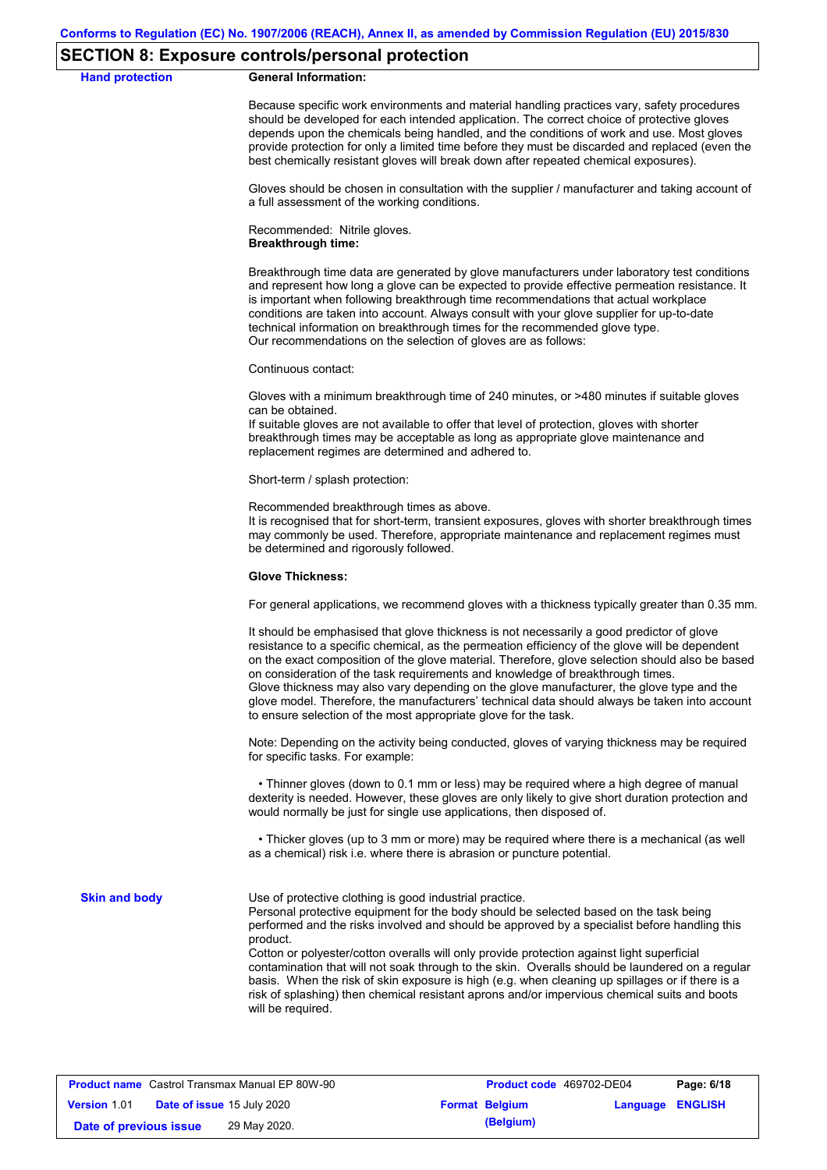#### **SECTION 8: Exposure controls/personal protection**

**Hand protection** 

|  | <b>General Information:</b> |
|--|-----------------------------|
|--|-----------------------------|

Because specific work environments and material handling practices vary, safety procedures should be developed for each intended application. The correct choice of protective gloves depends upon the chemicals being handled, and the conditions of work and use. Most gloves provide protection for only a limited time before they must be discarded and replaced (even the best chemically resistant gloves will break down after repeated chemical exposures).

Gloves should be chosen in consultation with the supplier / manufacturer and taking account of a full assessment of the working conditions.

Recommended: Nitrile gloves. **Breakthrough time:**

Breakthrough time data are generated by glove manufacturers under laboratory test conditions and represent how long a glove can be expected to provide effective permeation resistance. It is important when following breakthrough time recommendations that actual workplace conditions are taken into account. Always consult with your glove supplier for up-to-date technical information on breakthrough times for the recommended glove type. Our recommendations on the selection of gloves are as follows:

Continuous contact:

Gloves with a minimum breakthrough time of 240 minutes, or >480 minutes if suitable gloves can be obtained.

If suitable gloves are not available to offer that level of protection, gloves with shorter breakthrough times may be acceptable as long as appropriate glove maintenance and replacement regimes are determined and adhered to.

Short-term / splash protection:

Recommended breakthrough times as above.

It is recognised that for short-term, transient exposures, gloves with shorter breakthrough times may commonly be used. Therefore, appropriate maintenance and replacement regimes must be determined and rigorously followed.

#### **Glove Thickness:**

For general applications, we recommend gloves with a thickness typically greater than 0.35 mm.

It should be emphasised that glove thickness is not necessarily a good predictor of glove resistance to a specific chemical, as the permeation efficiency of the glove will be dependent on the exact composition of the glove material. Therefore, glove selection should also be based on consideration of the task requirements and knowledge of breakthrough times. Glove thickness may also vary depending on the glove manufacturer, the glove type and the glove model. Therefore, the manufacturers' technical data should always be taken into account to ensure selection of the most appropriate glove for the task.

Note: Depending on the activity being conducted, gloves of varying thickness may be required for specific tasks. For example:

 • Thinner gloves (down to 0.1 mm or less) may be required where a high degree of manual dexterity is needed. However, these gloves are only likely to give short duration protection and would normally be just for single use applications, then disposed of.

 • Thicker gloves (up to 3 mm or more) may be required where there is a mechanical (as well as a chemical) risk i.e. where there is abrasion or puncture potential.

**Skin and body**

Use of protective clothing is good industrial practice.

Personal protective equipment for the body should be selected based on the task being performed and the risks involved and should be approved by a specialist before handling this product.

Cotton or polyester/cotton overalls will only provide protection against light superficial contamination that will not soak through to the skin. Overalls should be laundered on a regular basis. When the risk of skin exposure is high (e.g. when cleaning up spillages or if there is a risk of splashing) then chemical resistant aprons and/or impervious chemical suits and boots will be required.

|                        | <b>Product name</b> Castrol Transmax Manual EP 80W-90 | Product code 469702-DE04<br>Page: 6/18           |  |
|------------------------|-------------------------------------------------------|--------------------------------------------------|--|
| <b>Version 1.01</b>    | <b>Date of issue 15 July 2020</b>                     | <b>Language ENGLISH</b><br><b>Format Belgium</b> |  |
| Date of previous issue | 29 May 2020.                                          | (Belgium)                                        |  |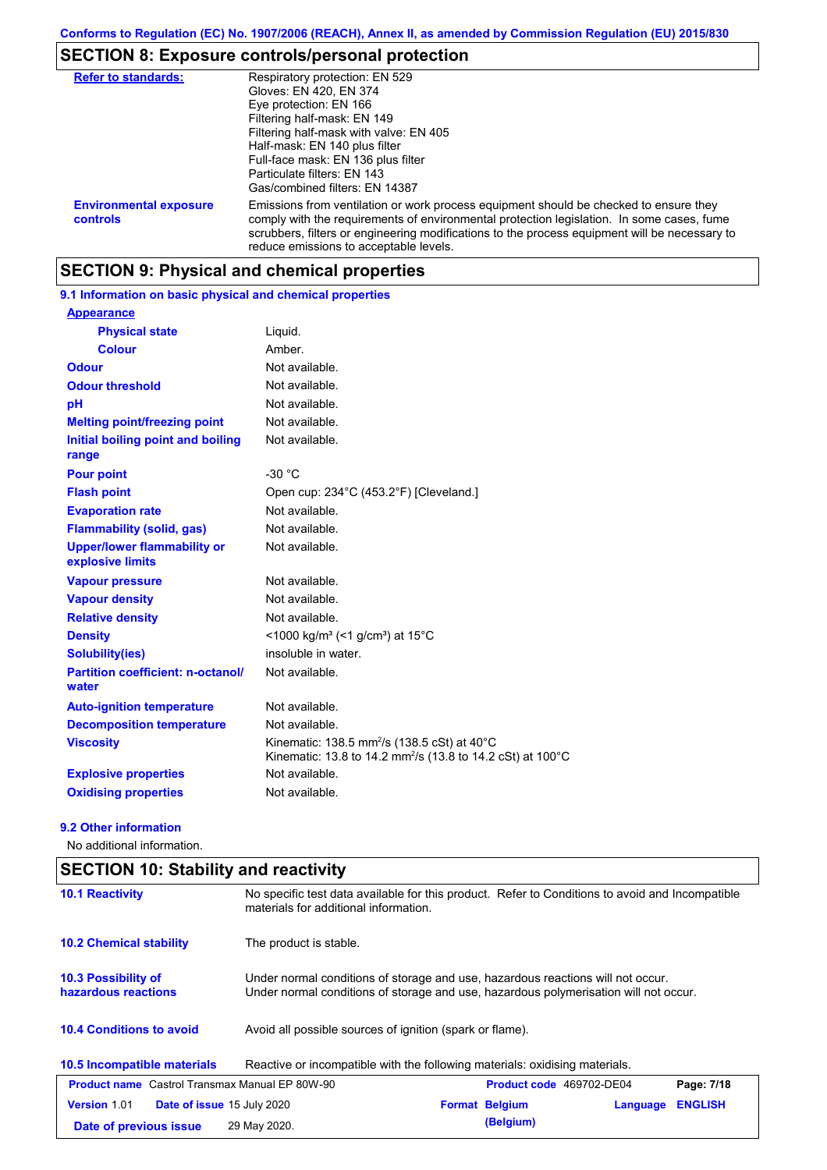# **SECTION 8: Exposure controls/personal protection**

| <b>Refer to standards:</b>                | Respiratory protection: EN 529<br>Gloves: EN 420, EN 374<br>Eye protection: EN 166<br>Filtering half-mask: EN 149<br>Filtering half-mask with valve: EN 405<br>Half-mask: EN 140 plus filter<br>Full-face mask: EN 136 plus filter<br>Particulate filters: EN 143<br>Gas/combined filters: EN 14387                           |
|-------------------------------------------|-------------------------------------------------------------------------------------------------------------------------------------------------------------------------------------------------------------------------------------------------------------------------------------------------------------------------------|
| <b>Environmental exposure</b><br>controls | Emissions from ventilation or work process equipment should be checked to ensure they<br>comply with the requirements of environmental protection legislation. In some cases, fume<br>scrubbers, filters or engineering modifications to the process equipment will be necessary to<br>reduce emissions to acceptable levels. |

# **SECTION 9: Physical and chemical properties**

#### **9.1 Information on basic physical and chemical properties**

| <b>Appearance</b>                                      |                                                                                                                                             |
|--------------------------------------------------------|---------------------------------------------------------------------------------------------------------------------------------------------|
| <b>Physical state</b>                                  | Liquid.                                                                                                                                     |
| <b>Colour</b>                                          | Amber.                                                                                                                                      |
| <b>Odour</b>                                           | Not available.                                                                                                                              |
| <b>Odour threshold</b>                                 | Not available.                                                                                                                              |
| pH                                                     | Not available.                                                                                                                              |
| <b>Melting point/freezing point</b>                    | Not available.                                                                                                                              |
| Initial boiling point and boiling<br>range             | Not available.                                                                                                                              |
| <b>Pour point</b>                                      | $-30 °C$                                                                                                                                    |
| <b>Flash point</b>                                     | Open cup: 234°C (453.2°F) [Cleveland.]                                                                                                      |
| <b>Evaporation rate</b>                                | Not available.                                                                                                                              |
| <b>Flammability (solid, gas)</b>                       | Not available.                                                                                                                              |
| <b>Upper/lower flammability or</b><br>explosive limits | Not available.                                                                                                                              |
| <b>Vapour pressure</b>                                 | Not available.                                                                                                                              |
| <b>Vapour density</b>                                  | Not available.                                                                                                                              |
| <b>Relative density</b>                                | Not available.                                                                                                                              |
| <b>Density</b>                                         | <1000 kg/m <sup>3</sup> (<1 g/cm <sup>3</sup> ) at 15 <sup>°</sup> C                                                                        |
| Solubility(ies)                                        | insoluble in water.                                                                                                                         |
| <b>Partition coefficient: n-octanol/</b><br>water      | Not available.                                                                                                                              |
| <b>Auto-ignition temperature</b>                       | Not available.                                                                                                                              |
| <b>Decomposition temperature</b>                       | Not available.                                                                                                                              |
| <b>Viscosity</b>                                       | Kinematic: 138.5 mm <sup>2</sup> /s (138.5 cSt) at $40^{\circ}$ C<br>Kinematic: 13.8 to 14.2 mm <sup>2</sup> /s (13.8 to 14.2 cSt) at 100°C |
| <b>Explosive properties</b>                            | Not available.                                                                                                                              |
| <b>Oxidising properties</b>                            | Not available.                                                                                                                              |

#### **9.2 Other information**

No additional information.

| <b>SECTION 10: Stability and reactivity</b>           |                                                                                                                                                                         |                                                                                                 |          |                |  |  |
|-------------------------------------------------------|-------------------------------------------------------------------------------------------------------------------------------------------------------------------------|-------------------------------------------------------------------------------------------------|----------|----------------|--|--|
| <b>10.1 Reactivity</b>                                | materials for additional information.                                                                                                                                   | No specific test data available for this product. Refer to Conditions to avoid and Incompatible |          |                |  |  |
| <b>10.2 Chemical stability</b>                        | The product is stable.                                                                                                                                                  |                                                                                                 |          |                |  |  |
| 10.3 Possibility of<br>hazardous reactions            | Under normal conditions of storage and use, hazardous reactions will not occur.<br>Under normal conditions of storage and use, hazardous polymerisation will not occur. |                                                                                                 |          |                |  |  |
| <b>10.4 Conditions to avoid</b>                       | Avoid all possible sources of ignition (spark or flame).                                                                                                                |                                                                                                 |          |                |  |  |
| 10.5 Incompatible materials                           | Reactive or incompatible with the following materials: oxidising materials.                                                                                             |                                                                                                 |          |                |  |  |
| <b>Product name</b> Castrol Transmax Manual EP 80W-90 |                                                                                                                                                                         | <b>Product code</b> 469702-DE04                                                                 |          | Page: 7/18     |  |  |
| <b>Version 1.01</b><br>Date of issue 15 July 2020     |                                                                                                                                                                         | <b>Format Belgium</b>                                                                           | Language | <b>ENGLISH</b> |  |  |
| Date of previous issue                                | 29 May 2020.                                                                                                                                                            | (Belgium)                                                                                       |          |                |  |  |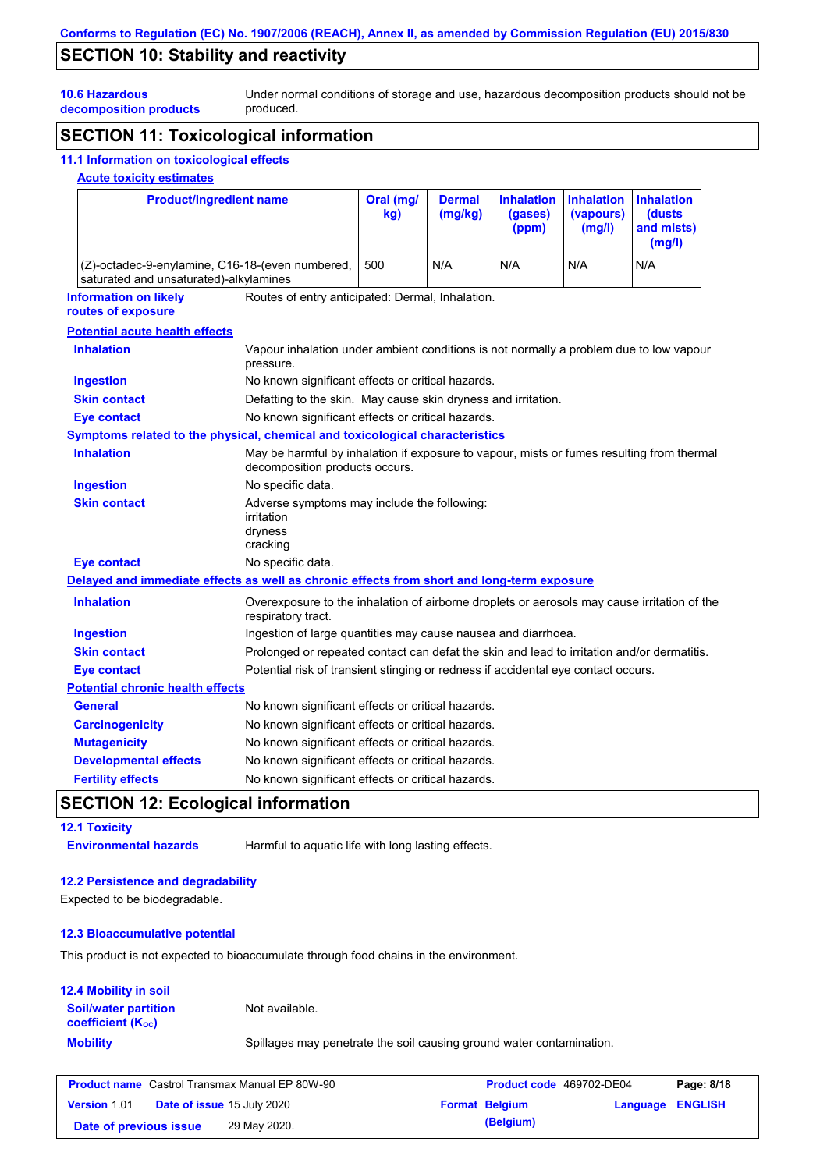# **SECTION 10: Stability and reactivity**

Under normal conditions of storage and use, hazardous decomposition products should not be produced.

# **decomposition products**

**10.6 Hazardous** 

### **SECTION 11: Toxicological information 11.1 Information on toxicological effects**

# **Acute toxicity estimates**

| <b>Product/ingredient name</b>                                                                                           |                                                                                                                             | Oral (mg/<br>kq | <b>Dermal</b><br>(mg/kg) | <b>Inhalation</b><br>(gases)<br>(ppm) | <b>Inhalation</b><br>(vapours)<br>(mg/l) | <b>Inhalation</b><br>(dusts<br>and mists)<br>(mg/l) |  |
|--------------------------------------------------------------------------------------------------------------------------|-----------------------------------------------------------------------------------------------------------------------------|-----------------|--------------------------|---------------------------------------|------------------------------------------|-----------------------------------------------------|--|
| (Z)-octadec-9-enylamine, C16-18-(even numbered,<br>saturated and unsaturated)-alkylamines                                |                                                                                                                             | 500             | N/A                      | N/A                                   | N/A                                      | N/A                                                 |  |
| <b>Information on likely</b><br>routes of exposure                                                                       | Routes of entry anticipated: Dermal, Inhalation.                                                                            |                 |                          |                                       |                                          |                                                     |  |
| <b>Potential acute health effects</b>                                                                                    |                                                                                                                             |                 |                          |                                       |                                          |                                                     |  |
| <b>Inhalation</b><br>Vapour inhalation under ambient conditions is not normally a problem due to low vapour<br>pressure. |                                                                                                                             |                 |                          |                                       |                                          |                                                     |  |
| <b>Ingestion</b>                                                                                                         | No known significant effects or critical hazards.                                                                           |                 |                          |                                       |                                          |                                                     |  |
| <b>Skin contact</b>                                                                                                      | Defatting to the skin. May cause skin dryness and irritation.                                                               |                 |                          |                                       |                                          |                                                     |  |
| <b>Eye contact</b>                                                                                                       | No known significant effects or critical hazards.                                                                           |                 |                          |                                       |                                          |                                                     |  |
| Symptoms related to the physical, chemical and toxicological characteristics                                             |                                                                                                                             |                 |                          |                                       |                                          |                                                     |  |
| <b>Inhalation</b>                                                                                                        | May be harmful by inhalation if exposure to vapour, mists or fumes resulting from thermal<br>decomposition products occurs. |                 |                          |                                       |                                          |                                                     |  |
| <b>Ingestion</b>                                                                                                         | No specific data.                                                                                                           |                 |                          |                                       |                                          |                                                     |  |
| <b>Skin contact</b>                                                                                                      | Adverse symptoms may include the following:<br>irritation<br>dryness<br>cracking                                            |                 |                          |                                       |                                          |                                                     |  |
| <b>Eye contact</b>                                                                                                       | No specific data.                                                                                                           |                 |                          |                                       |                                          |                                                     |  |
| Delayed and immediate effects as well as chronic effects from short and long-term exposure                               |                                                                                                                             |                 |                          |                                       |                                          |                                                     |  |
| <b>Inhalation</b>                                                                                                        | Overexposure to the inhalation of airborne droplets or aerosols may cause irritation of the<br>respiratory tract.           |                 |                          |                                       |                                          |                                                     |  |
| <b>Ingestion</b>                                                                                                         | Ingestion of large quantities may cause nausea and diarrhoea.                                                               |                 |                          |                                       |                                          |                                                     |  |
| <b>Skin contact</b>                                                                                                      | Prolonged or repeated contact can defat the skin and lead to irritation and/or dermatitis.                                  |                 |                          |                                       |                                          |                                                     |  |
| <b>Eye contact</b>                                                                                                       | Potential risk of transient stinging or redness if accidental eye contact occurs.                                           |                 |                          |                                       |                                          |                                                     |  |
| <b>Potential chronic health effects</b>                                                                                  |                                                                                                                             |                 |                          |                                       |                                          |                                                     |  |
| <b>General</b>                                                                                                           | No known significant effects or critical hazards.                                                                           |                 |                          |                                       |                                          |                                                     |  |
| <b>Carcinogenicity</b>                                                                                                   | No known significant effects or critical hazards.                                                                           |                 |                          |                                       |                                          |                                                     |  |
| <b>Mutagenicity</b>                                                                                                      | No known significant effects or critical hazards.                                                                           |                 |                          |                                       |                                          |                                                     |  |
| <b>Developmental effects</b>                                                                                             | No known significant effects or critical hazards.                                                                           |                 |                          |                                       |                                          |                                                     |  |
| <b>Fertility effects</b>                                                                                                 | No known significant effects or critical hazards.                                                                           |                 |                          |                                       |                                          |                                                     |  |

# **SECTION 12: Ecological information**

### **12.1 Toxicity**

**Environmental hazards** Harmful to aquatic life with long lasting effects.

#### **12.2 Persistence and degradability**

Expected to be biodegradable.

#### **12.3 Bioaccumulative potential**

This product is not expected to bioaccumulate through food chains in the environment.

| <b>12.4 Mobility in soil</b>                                  |                                                                      |
|---------------------------------------------------------------|----------------------------------------------------------------------|
| <b>Soil/water partition</b><br>coefficient (K <sub>oc</sub> ) | Not available.                                                       |
| <b>Mobility</b>                                               | Spillages may penetrate the soil causing ground water contamination. |

| <b>Product name</b> Castrol Transmax Manual EP 80W-90 |                                   | <b>Product code</b> 469702-DE04 |                  | Page: 8/18 |
|-------------------------------------------------------|-----------------------------------|---------------------------------|------------------|------------|
| <b>Version 1.01</b>                                   | <b>Date of issue 15 July 2020</b> | <b>Format Belgium</b>           | Language ENGLISH |            |
| Date of previous issue                                | 29 May 2020.                      | (Belgium)                       |                  |            |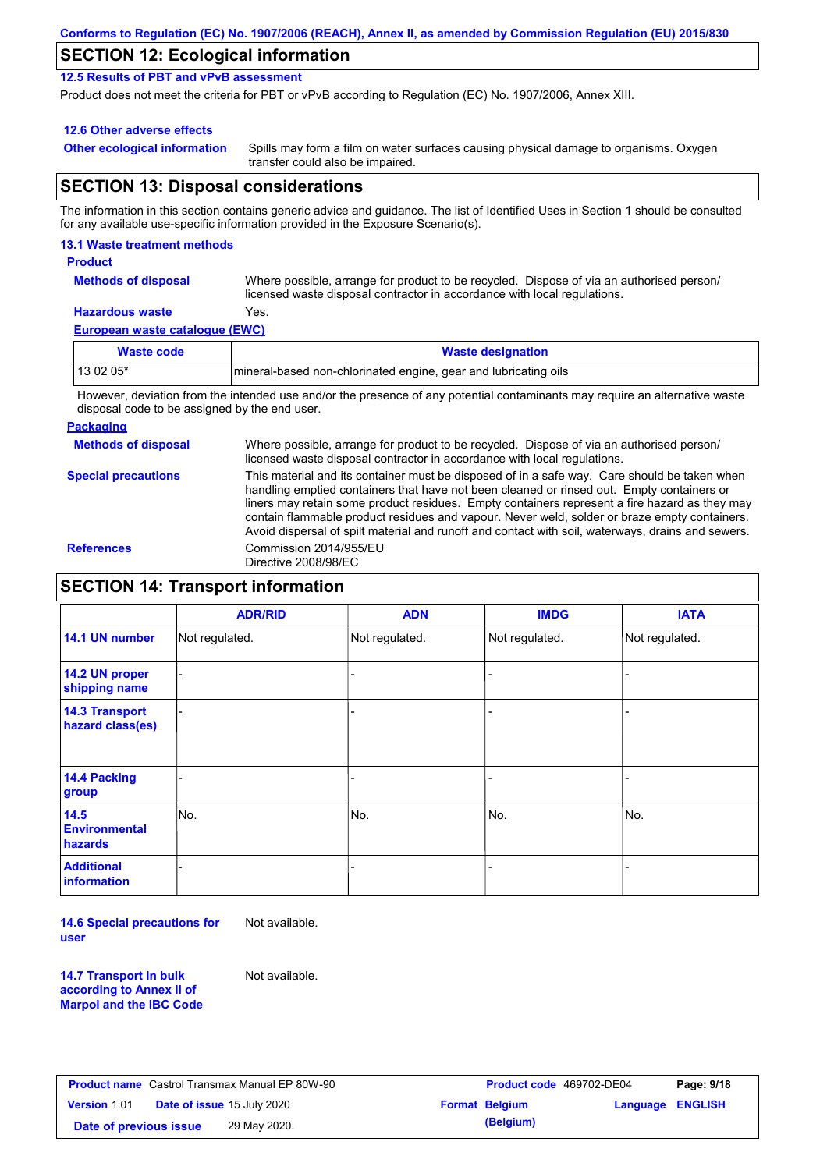| Conforms to Regulation (EC) No. 1907/2006 (REACH), Annex II, as amended by Commission Regulation (EU) 2015/830 |  |
|----------------------------------------------------------------------------------------------------------------|--|
|----------------------------------------------------------------------------------------------------------------|--|

### **SECTION 12: Ecological information**

**12.5 Results of PBT and vPvB assessment**

Product does not meet the criteria for PBT or vPvB according to Regulation (EC) No. 1907/2006, Annex XIII.

#### **12.6 Other adverse effects**

**Other ecological information**

Spills may form a film on water surfaces causing physical damage to organisms. Oxygen transfer could also be impaired.

#### **SECTION 13: Disposal considerations**

The information in this section contains generic advice and guidance. The list of Identified Uses in Section 1 should be consulted for any available use-specific information provided in the Exposure Scenario(s).

#### **13.1 Waste treatment methods**

#### **Product**

**Methods of disposal**

Where possible, arrange for product to be recycled. Dispose of via an authorised person/ licensed waste disposal contractor in accordance with local regulations.

#### **Hazardous waste** Yes.

| European waste catalogue (EWC) |                                                                 |  |
|--------------------------------|-----------------------------------------------------------------|--|
| Waste code                     | <b>Waste designation</b>                                        |  |
| 13 02 05*                      | mineral-based non-chlorinated engine, gear and lubricating oils |  |

However, deviation from the intended use and/or the presence of any potential contaminants may require an alternative waste disposal code to be assigned by the end user.

#### **Packaging**

| <b>Methods of disposal</b> | Where possible, arrange for product to be recycled. Dispose of via an authorised person/<br>licensed waste disposal contractor in accordance with local regulations.                                                                                                                                                                                                                                                                                                                            |
|----------------------------|-------------------------------------------------------------------------------------------------------------------------------------------------------------------------------------------------------------------------------------------------------------------------------------------------------------------------------------------------------------------------------------------------------------------------------------------------------------------------------------------------|
| <b>Special precautions</b> | This material and its container must be disposed of in a safe way. Care should be taken when<br>handling emptied containers that have not been cleaned or rinsed out. Empty containers or<br>liners may retain some product residues. Empty containers represent a fire hazard as they may<br>contain flammable product residues and vapour. Never weld, solder or braze empty containers.<br>Avoid dispersal of spilt material and runoff and contact with soil, waterways, drains and sewers. |
| <b>References</b>          | Commission 2014/955/EU<br>Directive 2008/98/EC                                                                                                                                                                                                                                                                                                                                                                                                                                                  |

# **SECTION 14: Transport information**

|                                           | <b>ADR/RID</b> | <b>ADN</b>     | <b>IMDG</b>    | <b>IATA</b>    |
|-------------------------------------------|----------------|----------------|----------------|----------------|
| 14.1 UN number                            | Not regulated. | Not regulated. | Not regulated. | Not regulated. |
| 14.2 UN proper<br>shipping name           |                |                |                |                |
| <b>14.3 Transport</b><br>hazard class(es) |                |                | ۰              |                |
| 14.4 Packing<br>group                     |                |                | -              |                |
| 14.5<br><b>Environmental</b><br>hazards   | No.            | No.            | No.            | No.            |
| <b>Additional</b><br><b>information</b>   |                |                |                |                |

**14.6 Special precautions for user** Not available.

**14.7 Transport in bulk according to Annex II of Marpol and the IBC Code**

Not available.

| <b>Product name</b> Castrol Transmax Manual EP 80W-90 |                                   | Product code 469702-DE04 |  | Page: 9/18            |                         |  |
|-------------------------------------------------------|-----------------------------------|--------------------------|--|-----------------------|-------------------------|--|
| <b>Version 1.01</b>                                   | <b>Date of issue 15 July 2020</b> |                          |  | <b>Format Belgium</b> | <b>Language ENGLISH</b> |  |
| Date of previous issue                                |                                   | 29 May 2020.             |  | (Belgium)             |                         |  |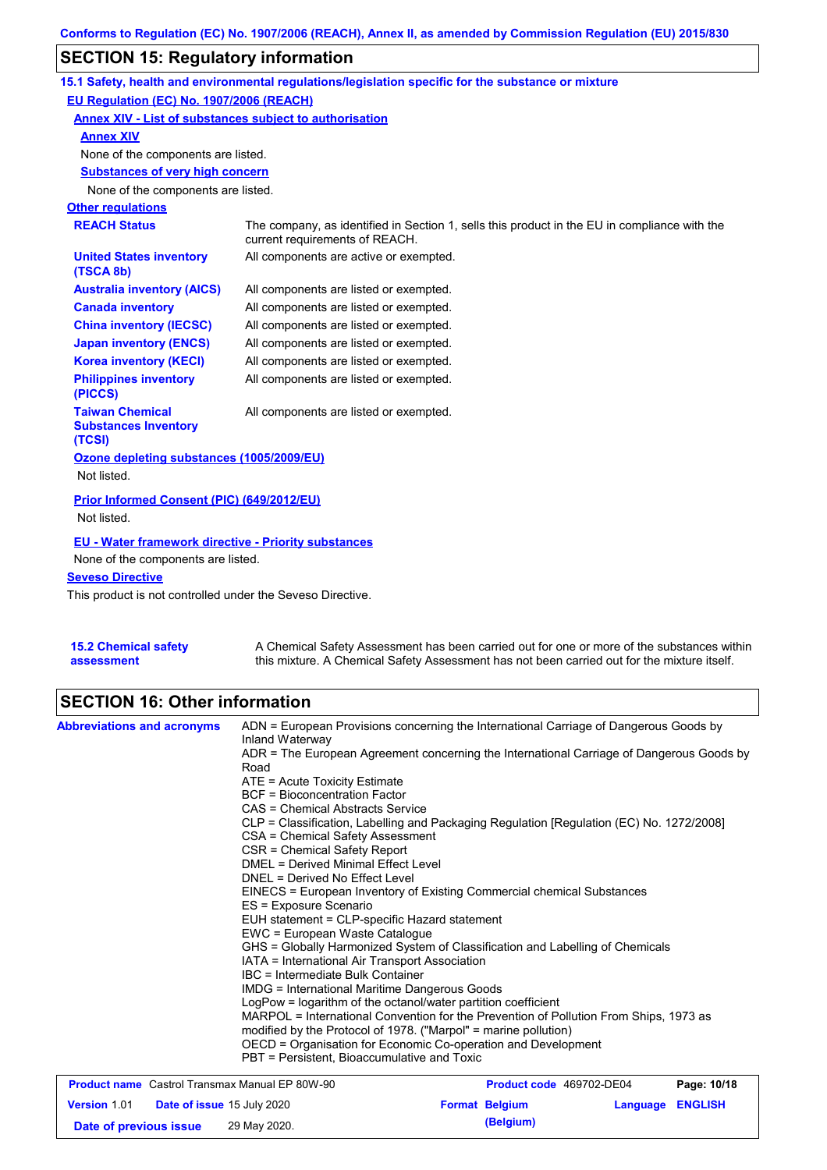# **SECTION 15: Regulatory information**

|                                                                 | 15.1 Safety, health and environmental regulations/legislation specific for the substance or mixture                            |
|-----------------------------------------------------------------|--------------------------------------------------------------------------------------------------------------------------------|
| EU Regulation (EC) No. 1907/2006 (REACH)                        |                                                                                                                                |
| Annex XIV - List of substances subject to authorisation         |                                                                                                                                |
| <b>Annex XIV</b>                                                |                                                                                                                                |
| None of the components are listed.                              |                                                                                                                                |
| <b>Substances of very high concern</b>                          |                                                                                                                                |
| None of the components are listed.                              |                                                                                                                                |
| <b>Other regulations</b>                                        |                                                                                                                                |
| <b>REACH Status</b>                                             | The company, as identified in Section 1, sells this product in the EU in compliance with the<br>current requirements of REACH. |
| <b>United States inventory</b><br>(TSCA 8b)                     | All components are active or exempted.                                                                                         |
| <b>Australia inventory (AICS)</b>                               | All components are listed or exempted.                                                                                         |
| <b>Canada inventory</b>                                         | All components are listed or exempted.                                                                                         |
| <b>China inventory (IECSC)</b>                                  | All components are listed or exempted.                                                                                         |
| <b>Japan inventory (ENCS)</b>                                   | All components are listed or exempted.                                                                                         |
| <b>Korea inventory (KECI)</b>                                   | All components are listed or exempted.                                                                                         |
| <b>Philippines inventory</b><br>(PICCS)                         | All components are listed or exempted.                                                                                         |
| <b>Taiwan Chemical</b><br><b>Substances Inventory</b><br>(TCSI) | All components are listed or exempted.                                                                                         |
| Ozone depleting substances (1005/2009/EU)<br>Not listed.        |                                                                                                                                |
| Prior Informed Consent (PIC) (649/2012/EU)                      |                                                                                                                                |
| Not listed.                                                     |                                                                                                                                |
| <b>EU - Water framework directive - Priority substances</b>     |                                                                                                                                |
| None of the components are listed.                              |                                                                                                                                |
| <b>Seveso Directive</b>                                         |                                                                                                                                |
|                                                                 |                                                                                                                                |

This product is not controlled under the Seveso Directive.

| <b>15.2 Chemical safety</b> | A Chemical Safety Assessment has been carried out for one or more of the substances within  |
|-----------------------------|---------------------------------------------------------------------------------------------|
| assessment                  | this mixture. A Chemical Safety Assessment has not been carried out for the mixture itself. |

# **SECTION 16: Other information**

| <b>Abbreviations and acronyms</b>                     | ADN = European Provisions concerning the International Carriage of Dangerous Goods by                                        |  |  |  |  |
|-------------------------------------------------------|------------------------------------------------------------------------------------------------------------------------------|--|--|--|--|
|                                                       | Inland Waterway                                                                                                              |  |  |  |  |
|                                                       | ADR = The European Agreement concerning the International Carriage of Dangerous Goods by<br>Road                             |  |  |  |  |
|                                                       | $ATE = Acute Toxicity Estimate$                                                                                              |  |  |  |  |
|                                                       | <b>BCF</b> = Bioconcentration Factor                                                                                         |  |  |  |  |
|                                                       | CAS = Chemical Abstracts Service                                                                                             |  |  |  |  |
|                                                       | CLP = Classification, Labelling and Packaging Regulation [Regulation (EC) No. 1272/2008]<br>CSA = Chemical Safety Assessment |  |  |  |  |
|                                                       | CSR = Chemical Safety Report                                                                                                 |  |  |  |  |
|                                                       | <b>DMEL = Derived Minimal Effect Level</b>                                                                                   |  |  |  |  |
|                                                       | DNEL = Derived No Effect Level                                                                                               |  |  |  |  |
|                                                       | EINECS = European Inventory of Existing Commercial chemical Substances                                                       |  |  |  |  |
|                                                       | ES = Exposure Scenario                                                                                                       |  |  |  |  |
|                                                       | EUH statement = CLP-specific Hazard statement                                                                                |  |  |  |  |
|                                                       | EWC = European Waste Catalogue                                                                                               |  |  |  |  |
|                                                       | GHS = Globally Harmonized System of Classification and Labelling of Chemicals                                                |  |  |  |  |
|                                                       | IATA = International Air Transport Association                                                                               |  |  |  |  |
|                                                       | IBC = Intermediate Bulk Container                                                                                            |  |  |  |  |
|                                                       | IMDG = International Maritime Dangerous Goods                                                                                |  |  |  |  |
|                                                       | LogPow = logarithm of the octanol/water partition coefficient                                                                |  |  |  |  |
|                                                       | MARPOL = International Convention for the Prevention of Pollution From Ships, 1973 as                                        |  |  |  |  |
|                                                       | modified by the Protocol of 1978. ("Marpol" = marine pollution)                                                              |  |  |  |  |
|                                                       | OECD = Organisation for Economic Co-operation and Development                                                                |  |  |  |  |
|                                                       | PBT = Persistent, Bioaccumulative and Toxic                                                                                  |  |  |  |  |
| <b>Product name</b> Castrol Transmax Manual EP 80W-90 | Page: 10/18<br><b>Product code</b> 469702-DE04                                                                               |  |  |  |  |
|                                                       |                                                                                                                              |  |  |  |  |

| <b>Version 1.01</b>    | <b>Date of issue 15 July 2020</b> | <b>Format Belgium</b> | Language ENGLISH |  |
|------------------------|-----------------------------------|-----------------------|------------------|--|
| Date of previous issue | 29 May 2020.                      | (Belgium)             |                  |  |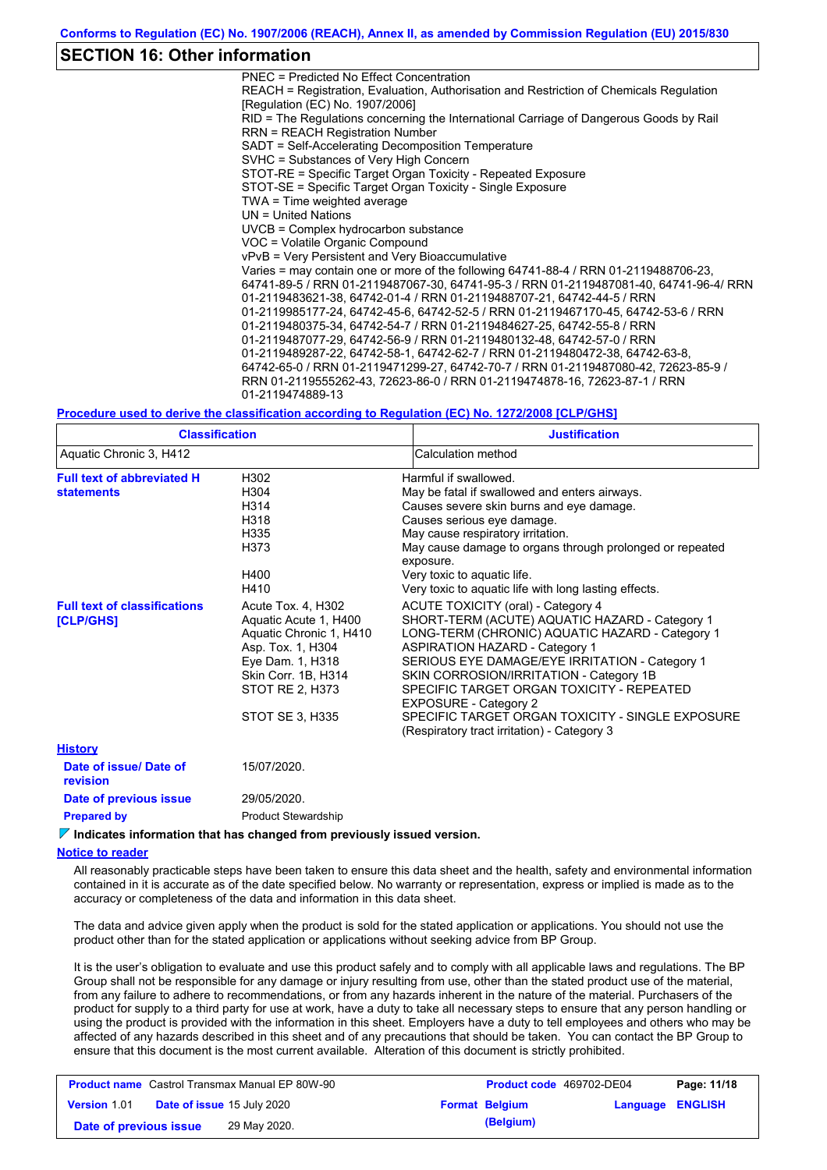#### **SECTION 16: Other information**

PNEC = Predicted No Effect Concentration REACH = Registration, Evaluation, Authorisation and Restriction of Chemicals Regulation [Regulation (EC) No. 1907/2006] RID = The Regulations concerning the International Carriage of Dangerous Goods by Rail RRN = REACH Registration Number SADT = Self-Accelerating Decomposition Temperature SVHC = Substances of Very High Concern STOT-RE = Specific Target Organ Toxicity - Repeated Exposure STOT-SE = Specific Target Organ Toxicity - Single Exposure TWA = Time weighted average UN = United Nations UVCB = Complex hydrocarbon substance VOC = Volatile Organic Compound vPvB = Very Persistent and Very Bioaccumulative Varies = may contain one or more of the following 64741-88-4 / RRN 01-2119488706-23, 64741-89-5 / RRN 01-2119487067-30, 64741-95-3 / RRN 01-2119487081-40, 64741-96-4/ RRN 01-2119483621-38, 64742-01-4 / RRN 01-2119488707-21, 64742-44-5 / RRN 01-2119985177-24, 64742-45-6, 64742-52-5 / RRN 01-2119467170-45, 64742-53-6 / RRN 01-2119480375-34, 64742-54-7 / RRN 01-2119484627-25, 64742-55-8 / RRN 01-2119487077-29, 64742-56-9 / RRN 01-2119480132-48, 64742-57-0 / RRN 01-2119489287-22, 64742-58-1, 64742-62-7 / RRN 01-2119480472-38, 64742-63-8, 64742-65-0 / RRN 01-2119471299-27, 64742-70-7 / RRN 01-2119487080-42, 72623-85-9 / RRN 01-2119555262-43, 72623-86-0 / RRN 01-2119474878-16, 72623-87-1 / RRN 01-2119474889-13

#### **Procedure used to derive the classification according to Regulation (EC) No. 1272/2008 [CLP/GHS]**

| <b>Classification</b>                                  |                                                                                                                                                                              | <b>Justification</b>                                                                                                                                                                                                                                                                                                                                                                                                                                   |
|--------------------------------------------------------|------------------------------------------------------------------------------------------------------------------------------------------------------------------------------|--------------------------------------------------------------------------------------------------------------------------------------------------------------------------------------------------------------------------------------------------------------------------------------------------------------------------------------------------------------------------------------------------------------------------------------------------------|
| Aquatic Chronic 3, H412                                |                                                                                                                                                                              | Calculation method                                                                                                                                                                                                                                                                                                                                                                                                                                     |
| <b>Full text of abbreviated H</b><br><b>statements</b> | H302<br>H304<br>H314<br>H318<br>H335<br>H373<br>H400<br>H410                                                                                                                 | Harmful if swallowed.<br>May be fatal if swallowed and enters airways.<br>Causes severe skin burns and eye damage.<br>Causes serious eye damage.<br>May cause respiratory irritation.<br>May cause damage to organs through prolonged or repeated<br>exposure.<br>Very toxic to aquatic life.<br>Very toxic to aquatic life with long lasting effects.                                                                                                 |
| <b>Full text of classifications</b><br>[CLP/GHS]       | Acute Tox. 4, H302<br>Aquatic Acute 1, H400<br>Aquatic Chronic 1, H410<br>Asp. Tox. 1, H304<br>Eye Dam. 1, H318<br>Skin Corr. 1B, H314<br>STOT RE 2, H373<br>STOT SE 3, H335 | ACUTE TOXICITY (oral) - Category 4<br>SHORT-TERM (ACUTE) AQUATIC HAZARD - Category 1<br>LONG-TERM (CHRONIC) AQUATIC HAZARD - Category 1<br><b>ASPIRATION HAZARD - Category 1</b><br>SERIOUS EYE DAMAGE/EYE IRRITATION - Category 1<br>SKIN CORROSION/IRRITATION - Category 1B<br>SPECIFIC TARGET ORGAN TOXICITY - REPEATED<br>EXPOSURE - Category 2<br>SPECIFIC TARGET ORGAN TOXICITY - SINGLE EXPOSURE<br>(Respiratory tract irritation) - Category 3 |
| <b>History</b>                                         |                                                                                                                                                                              |                                                                                                                                                                                                                                                                                                                                                                                                                                                        |
| Date of issue/Date of<br>revision                      | 15/07/2020.                                                                                                                                                                  |                                                                                                                                                                                                                                                                                                                                                                                                                                                        |
| Date of previous issue                                 | 29/05/2020.                                                                                                                                                                  |                                                                                                                                                                                                                                                                                                                                                                                                                                                        |
| <b>Prepared by</b>                                     | <b>Product Stewardship</b>                                                                                                                                                   |                                                                                                                                                                                                                                                                                                                                                                                                                                                        |

**Indicates information that has changed from previously issued version.**

#### **Notice to reader**

All reasonably practicable steps have been taken to ensure this data sheet and the health, safety and environmental information contained in it is accurate as of the date specified below. No warranty or representation, express or implied is made as to the accuracy or completeness of the data and information in this data sheet.

The data and advice given apply when the product is sold for the stated application or applications. You should not use the product other than for the stated application or applications without seeking advice from BP Group.

It is the user's obligation to evaluate and use this product safely and to comply with all applicable laws and regulations. The BP Group shall not be responsible for any damage or injury resulting from use, other than the stated product use of the material, from any failure to adhere to recommendations, or from any hazards inherent in the nature of the material. Purchasers of the product for supply to a third party for use at work, have a duty to take all necessary steps to ensure that any person handling or using the product is provided with the information in this sheet. Employers have a duty to tell employees and others who may be affected of any hazards described in this sheet and of any precautions that should be taken. You can contact the BP Group to ensure that this document is the most current available. Alteration of this document is strictly prohibited.

| <b>Product name</b> Castrol Transmax Manual EP 80W-90 |  | Product code 469702-DE04          |  | Page: 11/18           |                         |  |
|-------------------------------------------------------|--|-----------------------------------|--|-----------------------|-------------------------|--|
| <b>Version 1.01</b>                                   |  | <b>Date of issue 15 July 2020</b> |  | <b>Format Belgium</b> | <b>Language ENGLISH</b> |  |
| Date of previous issue                                |  | 29 May 2020.                      |  | (Belgium)             |                         |  |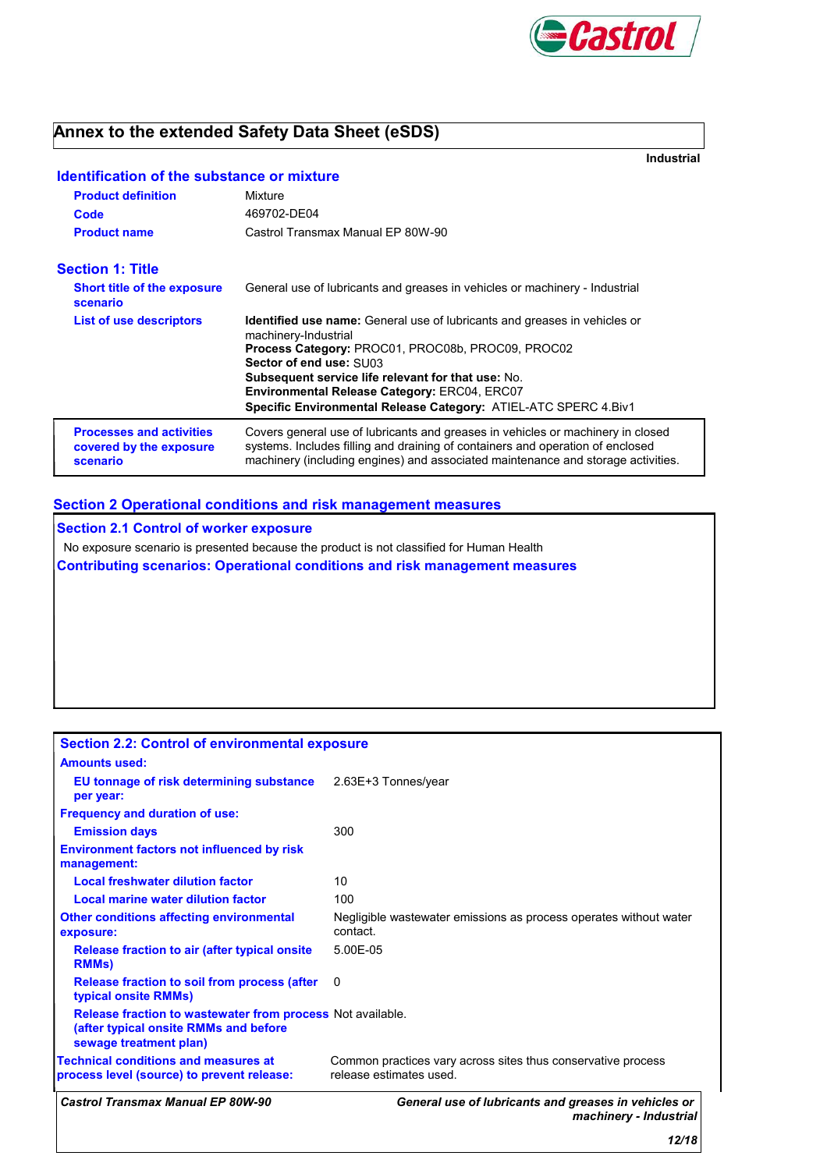

# **Annex to the extended Safety Data Sheet (eSDS)**

**Industrial**

### **Identification of the substance or mixture**

| <b>Product definition</b>                                              | Mixture                                                                                                                                                                                                                                                                                                                                                                  |
|------------------------------------------------------------------------|--------------------------------------------------------------------------------------------------------------------------------------------------------------------------------------------------------------------------------------------------------------------------------------------------------------------------------------------------------------------------|
| Code                                                                   | 469702-DE04                                                                                                                                                                                                                                                                                                                                                              |
| <b>Product name</b>                                                    | Castrol Transmax Manual EP 80W-90                                                                                                                                                                                                                                                                                                                                        |
| <b>Section 1: Title</b>                                                |                                                                                                                                                                                                                                                                                                                                                                          |
| <b>Short title of the exposure</b><br>scenario                         | General use of lubricants and greases in vehicles or machinery - Industrial                                                                                                                                                                                                                                                                                              |
| <b>List of use descriptors</b>                                         | <b>Identified use name:</b> General use of lubricants and greases in vehicles or<br>machinery-Industrial<br>Process Category: PROC01, PROC08b, PROC09, PROC02<br>Sector of end use: SU03<br><b>Subsequent service life relevant for that use: No.</b><br>Environmental Release Category: ERC04, ERC07<br>Specific Environmental Release Category: ATIEL-ATC SPERC 4.Biv1 |
| <b>Processes and activities</b><br>covered by the exposure<br>scenario | Covers general use of lubricants and greases in vehicles or machinery in closed<br>systems. Includes filling and draining of containers and operation of enclosed<br>machinery (including engines) and associated maintenance and storage activities.                                                                                                                    |

#### **Section 2 Operational conditions and risk management measures**

**Section 2.1 Control of worker exposure** No exposure scenario is presented because the product is not classified for Human Health **Contributing scenarios: Operational conditions and risk management measures**

| <b>Castrol Transmax Manual EP 80W-90</b>                                                                                             | General use of lubricants and greases in vehicles or<br>machinery - Industrial          |
|--------------------------------------------------------------------------------------------------------------------------------------|-----------------------------------------------------------------------------------------|
| <b>Technical conditions and measures at</b><br>process level (source) to prevent release:                                            | Common practices vary across sites thus conservative process<br>release estimates used. |
| <b>Release fraction to wastewater from process Not available.</b><br>(after typical onsite RMMs and before<br>sewage treatment plan) |                                                                                         |
| Release fraction to soil from process (after<br>typical onsite RMMs)                                                                 | 0                                                                                       |
| Release fraction to air (after typical onsite)<br><b>RMMs</b> )                                                                      | 5.00E-05                                                                                |
| <b>Other conditions affecting environmental</b><br>exposure:                                                                         | Negligible wastewater emissions as process operates without water<br>contact.           |
| Local marine water dilution factor                                                                                                   | 100                                                                                     |
| <b>Local freshwater dilution factor</b>                                                                                              | 10                                                                                      |
| <b>Environment factors not influenced by risk</b><br>management:                                                                     |                                                                                         |
| <b>Emission days</b>                                                                                                                 | 300                                                                                     |
| <b>Frequency and duration of use:</b>                                                                                                |                                                                                         |
| EU tonnage of risk determining substance 2.63E+3 Tonnes/year<br>per year:                                                            |                                                                                         |
| <b>Amounts used:</b>                                                                                                                 |                                                                                         |
| <b>Section 2.2: Control of environmental exposure</b>                                                                                |                                                                                         |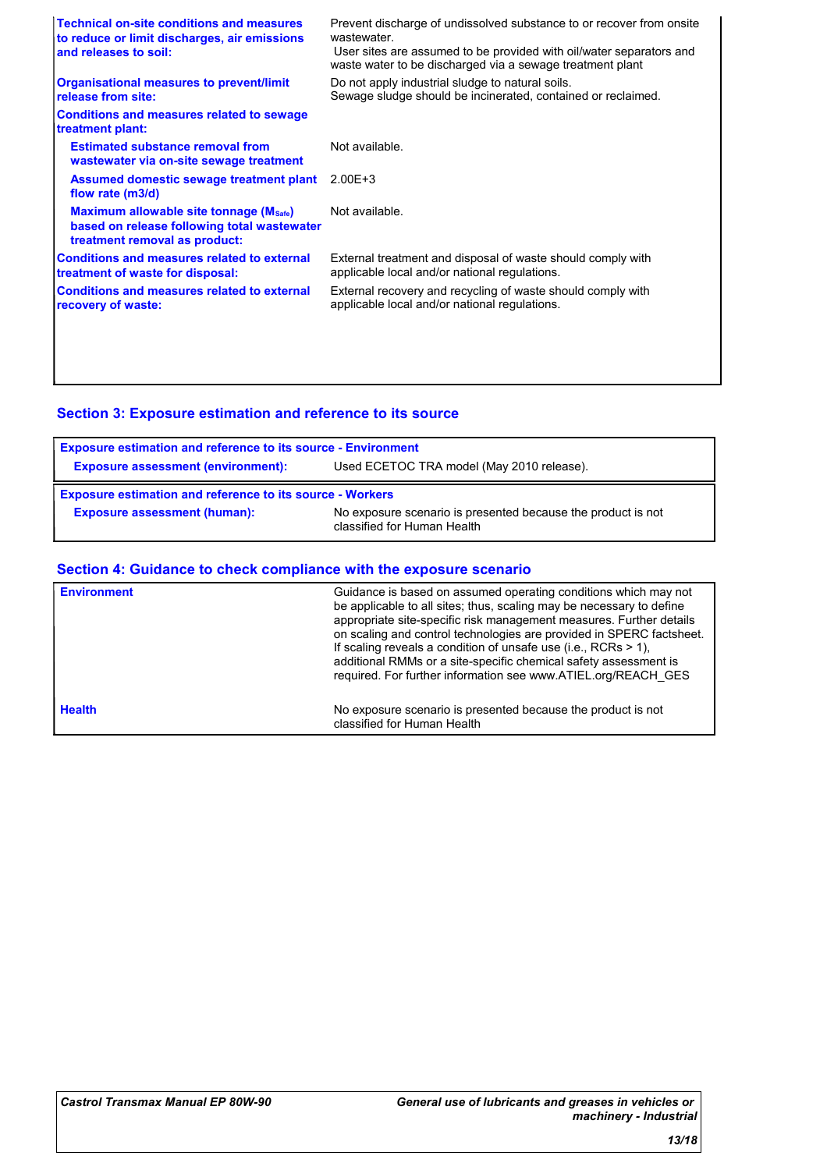| <b>Technical on-site conditions and measures</b><br>to reduce or limit discharges, air emissions<br>and releases to soil: | Prevent discharge of undissolved substance to or recover from onsite<br>wastewater.<br>User sites are assumed to be provided with oil/water separators and<br>waste water to be discharged via a sewage treatment plant |
|---------------------------------------------------------------------------------------------------------------------------|-------------------------------------------------------------------------------------------------------------------------------------------------------------------------------------------------------------------------|
| <b>Organisational measures to prevent/limit</b><br>release from site:                                                     | Do not apply industrial sludge to natural soils.<br>Sewage sludge should be incinerated, contained or reclaimed.                                                                                                        |
| <b>Conditions and measures related to sewage</b><br>treatment plant:                                                      |                                                                                                                                                                                                                         |
| <b>Estimated substance removal from</b><br>wastewater via on-site sewage treatment                                        | Not available.                                                                                                                                                                                                          |
| Assumed domestic sewage treatment plant<br>flow rate (m3/d)                                                               | $2.00E + 3$                                                                                                                                                                                                             |
| Maximum allowable site tonnage (Msafe)<br>based on release following total wastewater<br>treatment removal as product:    | Not available.                                                                                                                                                                                                          |
| <b>Conditions and measures related to external</b><br>treatment of waste for disposal:                                    | External treatment and disposal of waste should comply with<br>applicable local and/or national regulations.                                                                                                            |
| <b>Conditions and measures related to external</b><br>recovery of waste:                                                  | External recovery and recycling of waste should comply with<br>applicable local and/or national regulations.                                                                                                            |
|                                                                                                                           |                                                                                                                                                                                                                         |
|                                                                                                                           |                                                                                                                                                                                                                         |

# **Section 3: Exposure estimation and reference to its source**

| <b>Exposure estimation and reference to its source - Environment</b> |                                                                                             |  |
|----------------------------------------------------------------------|---------------------------------------------------------------------------------------------|--|
| <b>Exposure assessment (environment):</b>                            | Used ECETOC TRA model (May 2010 release).                                                   |  |
| <b>Exposure estimation and reference to its source - Workers</b>     |                                                                                             |  |
| <b>Exposure assessment (human):</b>                                  | No exposure scenario is presented because the product is not<br>classified for Human Health |  |

### **Section 4: Guidance to check compliance with the exposure scenario**

| <b>Environment</b> | Guidance is based on assumed operating conditions which may not<br>be applicable to all sites; thus, scaling may be necessary to define<br>appropriate site-specific risk management measures. Further details<br>on scaling and control technologies are provided in SPERC factsheet.<br>If scaling reveals a condition of unsafe use (i.e., RCRs $> 1$ ),<br>additional RMMs or a site-specific chemical safety assessment is<br>required. For further information see www.ATIEL.org/REACH_GES |
|--------------------|--------------------------------------------------------------------------------------------------------------------------------------------------------------------------------------------------------------------------------------------------------------------------------------------------------------------------------------------------------------------------------------------------------------------------------------------------------------------------------------------------|
| <b>Health</b>      | No exposure scenario is presented because the product is not<br>classified for Human Health                                                                                                                                                                                                                                                                                                                                                                                                      |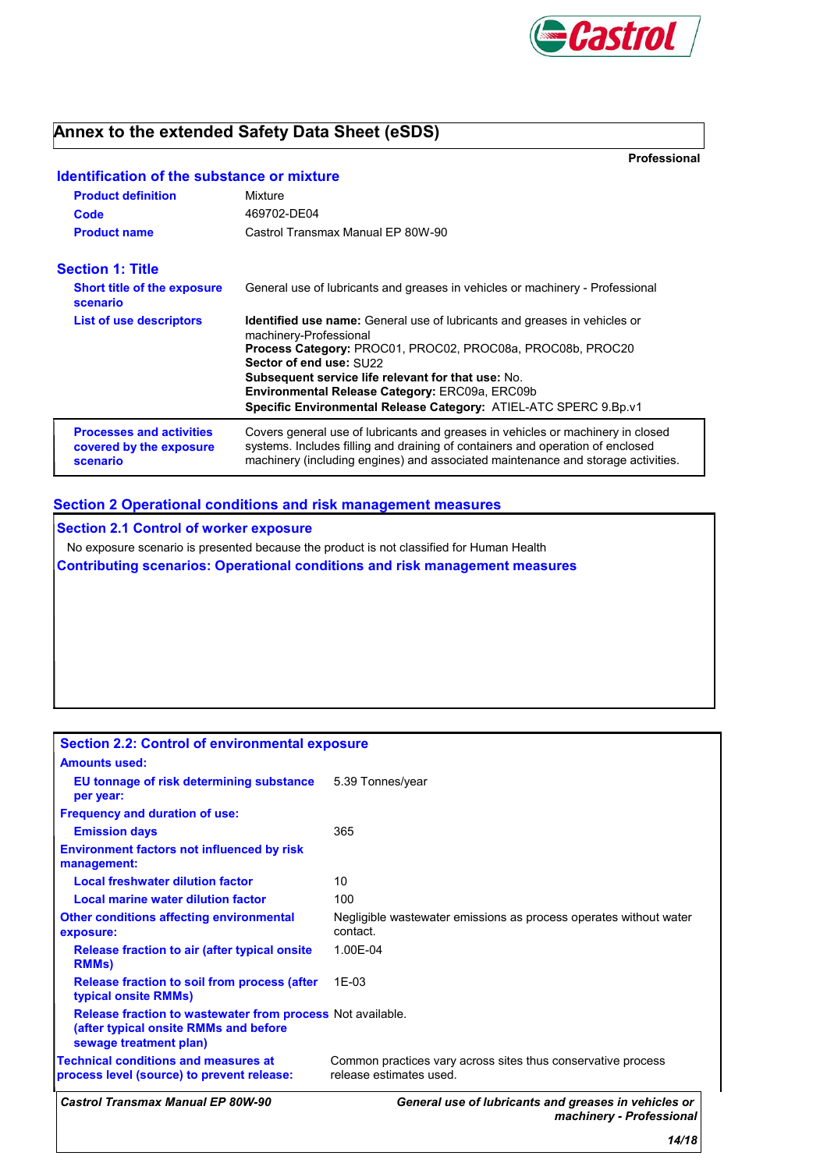

# **Annex to the extended Safety Data Sheet (eSDS)**

**Professional**

### **Identification of the substance or mixture**

| <b>Product definition</b>                                              | Mixture                                                                                                                                                                                                                                               |
|------------------------------------------------------------------------|-------------------------------------------------------------------------------------------------------------------------------------------------------------------------------------------------------------------------------------------------------|
| Code                                                                   | 469702-DE04                                                                                                                                                                                                                                           |
| <b>Product name</b>                                                    | Castrol Transmax Manual EP 80W-90                                                                                                                                                                                                                     |
| <b>Section 1: Title</b>                                                |                                                                                                                                                                                                                                                       |
| <b>Short title of the exposure</b><br>scenario                         | General use of lubricants and greases in vehicles or machinery - Professional                                                                                                                                                                         |
| <b>List of use descriptors</b>                                         | <b>Identified use name:</b> General use of lubricants and greases in vehicles or<br>machinery-Professional                                                                                                                                            |
|                                                                        | Process Category: PROC01, PROC02, PROC08a, PROC08b, PROC20<br>Sector of end use: SU22                                                                                                                                                                 |
|                                                                        | <b>Subsequent service life relevant for that use: No.</b>                                                                                                                                                                                             |
|                                                                        | <b>Environmental Release Category: ERC09a, ERC09b</b>                                                                                                                                                                                                 |
|                                                                        | Specific Environmental Release Category: ATIEL-ATC SPERC 9.Bp.v1                                                                                                                                                                                      |
| <b>Processes and activities</b><br>covered by the exposure<br>scenario | Covers general use of lubricants and greases in vehicles or machinery in closed<br>systems. Includes filling and draining of containers and operation of enclosed<br>machinery (including engines) and associated maintenance and storage activities. |

### **Section 2 Operational conditions and risk management measures**

**Section 2.1 Control of worker exposure**

No exposure scenario is presented because the product is not classified for Human Health

**Contributing scenarios: Operational conditions and risk management measures**

| <b>Castrol Transmax Manual EP 80W-90</b>                                                                                      | General use of lubricants and greases in vehicles or<br>machinery - Professional        |
|-------------------------------------------------------------------------------------------------------------------------------|-----------------------------------------------------------------------------------------|
| <b>Technical conditions and measures at</b><br>process level (source) to prevent release:                                     | Common practices vary across sites thus conservative process<br>release estimates used. |
| Release fraction to wastewater from process Not available.<br>(after typical onsite RMMs and before<br>sewage treatment plan) |                                                                                         |
| Release fraction to soil from process (after<br>typical onsite RMMs)                                                          | $1E-03$                                                                                 |
| Release fraction to air (after typical onsite)<br><b>RMMs</b> )                                                               | 1.00E-04                                                                                |
| <b>Other conditions affecting environmental</b><br>exposure:                                                                  | Negligible wastewater emissions as process operates without water<br>contact.           |
| Local marine water dilution factor                                                                                            | 100                                                                                     |
| <b>Local freshwater dilution factor</b>                                                                                       | 10                                                                                      |
| <b>Environment factors not influenced by risk</b><br>management:                                                              |                                                                                         |
| <b>Emission days</b>                                                                                                          | 365                                                                                     |
| <b>Frequency and duration of use:</b>                                                                                         |                                                                                         |
| EU tonnage of risk determining substance<br>per year:                                                                         | 5.39 Tonnes/year                                                                        |
| <b>Amounts used:</b>                                                                                                          |                                                                                         |
| <b>Section 2.2: Control of environmental exposure</b>                                                                         |                                                                                         |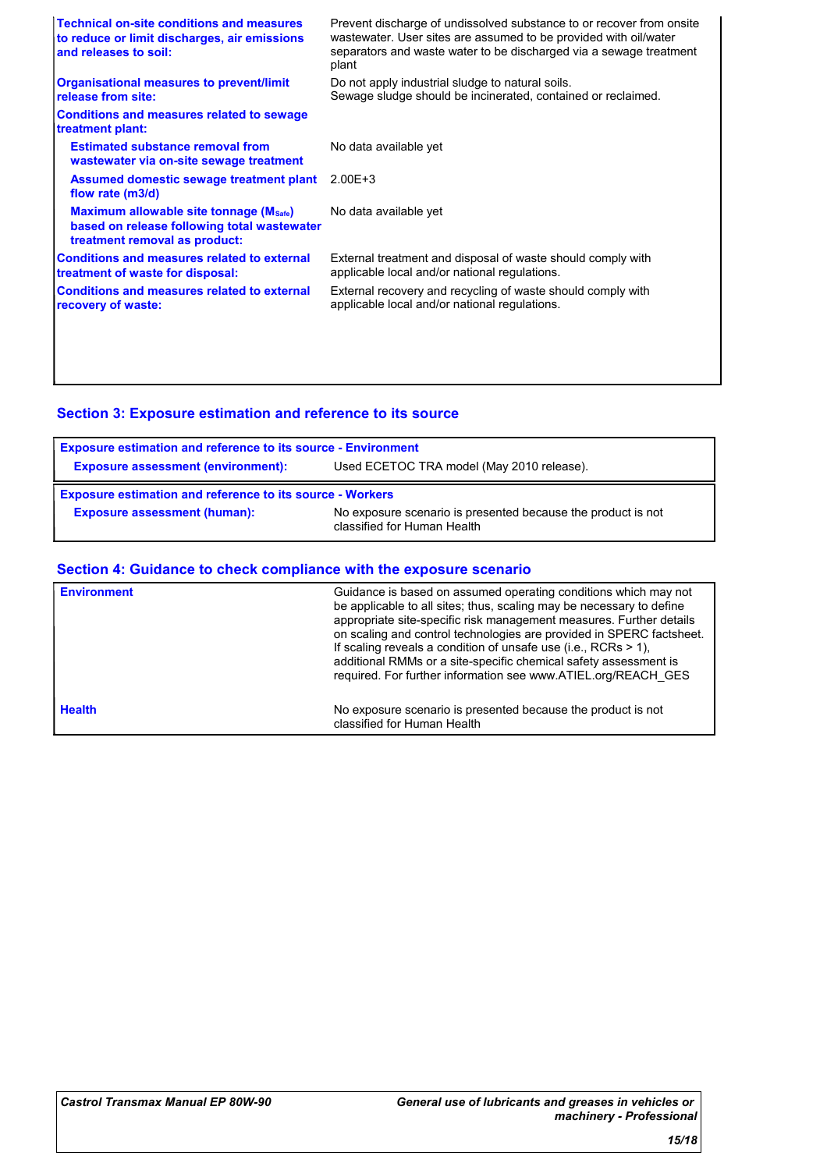| <b>Technical on-site conditions and measures</b><br>to reduce or limit discharges, air emissions<br>and releases to soil: | Prevent discharge of undissolved substance to or recover from onsite<br>wastewater. User sites are assumed to be provided with oil/water<br>separators and waste water to be discharged via a sewage treatment<br>plant |
|---------------------------------------------------------------------------------------------------------------------------|-------------------------------------------------------------------------------------------------------------------------------------------------------------------------------------------------------------------------|
| <b>Organisational measures to prevent/limit</b><br>release from site:                                                     | Do not apply industrial sludge to natural soils.<br>Sewage sludge should be incinerated, contained or reclaimed.                                                                                                        |
| <b>Conditions and measures related to sewage</b><br>treatment plant:                                                      |                                                                                                                                                                                                                         |
| <b>Estimated substance removal from</b><br>wastewater via on-site sewage treatment                                        | No data available yet                                                                                                                                                                                                   |
| Assumed domestic sewage treatment plant<br>flow rate (m3/d)                                                               | $2.00E + 3$                                                                                                                                                                                                             |
| Maximum allowable site tonnage (Msafe)<br>based on release following total wastewater<br>treatment removal as product:    | No data available yet                                                                                                                                                                                                   |
| <b>Conditions and measures related to external</b><br>treatment of waste for disposal:                                    | External treatment and disposal of waste should comply with<br>applicable local and/or national regulations.                                                                                                            |
| <b>Conditions and measures related to external</b><br>recovery of waste:                                                  | External recovery and recycling of waste should comply with<br>applicable local and/or national regulations.                                                                                                            |
|                                                                                                                           |                                                                                                                                                                                                                         |
|                                                                                                                           |                                                                                                                                                                                                                         |

# **Section 3: Exposure estimation and reference to its source**

| <b>Exposure estimation and reference to its source - Environment</b> |                                                                                             |  |
|----------------------------------------------------------------------|---------------------------------------------------------------------------------------------|--|
| <b>Exposure assessment (environment):</b>                            | Used ECETOC TRA model (May 2010 release).                                                   |  |
| <b>Exposure estimation and reference to its source - Workers</b>     |                                                                                             |  |
| <b>Exposure assessment (human):</b>                                  | No exposure scenario is presented because the product is not<br>classified for Human Health |  |

### **Section 4: Guidance to check compliance with the exposure scenario**

| <b>Environment</b> | Guidance is based on assumed operating conditions which may not<br>be applicable to all sites; thus, scaling may be necessary to define<br>appropriate site-specific risk management measures. Further details<br>on scaling and control technologies are provided in SPERC factsheet.<br>If scaling reveals a condition of unsafe use (i.e., RCRs $> 1$ ),<br>additional RMMs or a site-specific chemical safety assessment is<br>required. For further information see www.ATIEL.org/REACH_GES |
|--------------------|--------------------------------------------------------------------------------------------------------------------------------------------------------------------------------------------------------------------------------------------------------------------------------------------------------------------------------------------------------------------------------------------------------------------------------------------------------------------------------------------------|
| <b>Health</b>      | No exposure scenario is presented because the product is not<br>classified for Human Health                                                                                                                                                                                                                                                                                                                                                                                                      |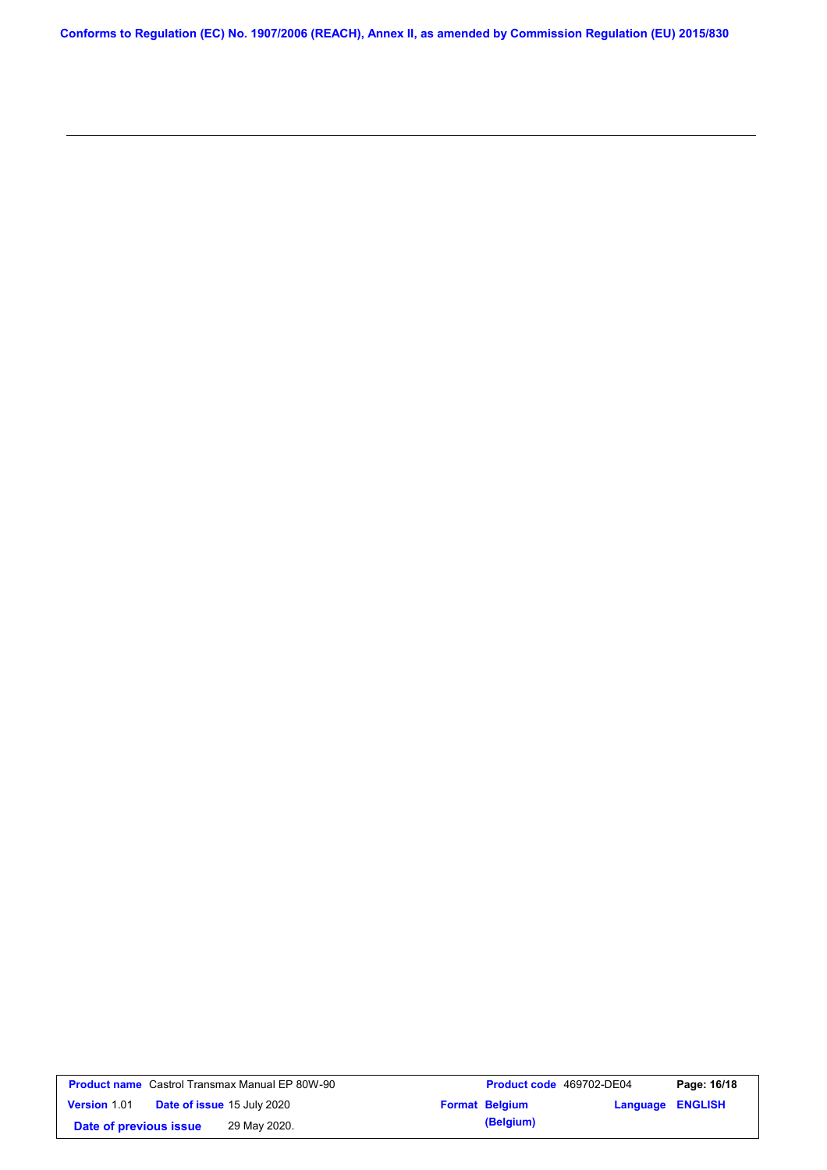| <b>Product name</b> Castrol Transmax Manual EP 80W-90 |                                   | Product code 469702-DE04 |                         | Page: 16/18 |
|-------------------------------------------------------|-----------------------------------|--------------------------|-------------------------|-------------|
| <b>Version 1.01</b>                                   | <b>Date of issue 15 July 2020</b> | <b>Format Belgium</b>    | <b>Language ENGLISH</b> |             |
| Date of previous issue                                | 29 May 2020.                      | (Belgium)                |                         |             |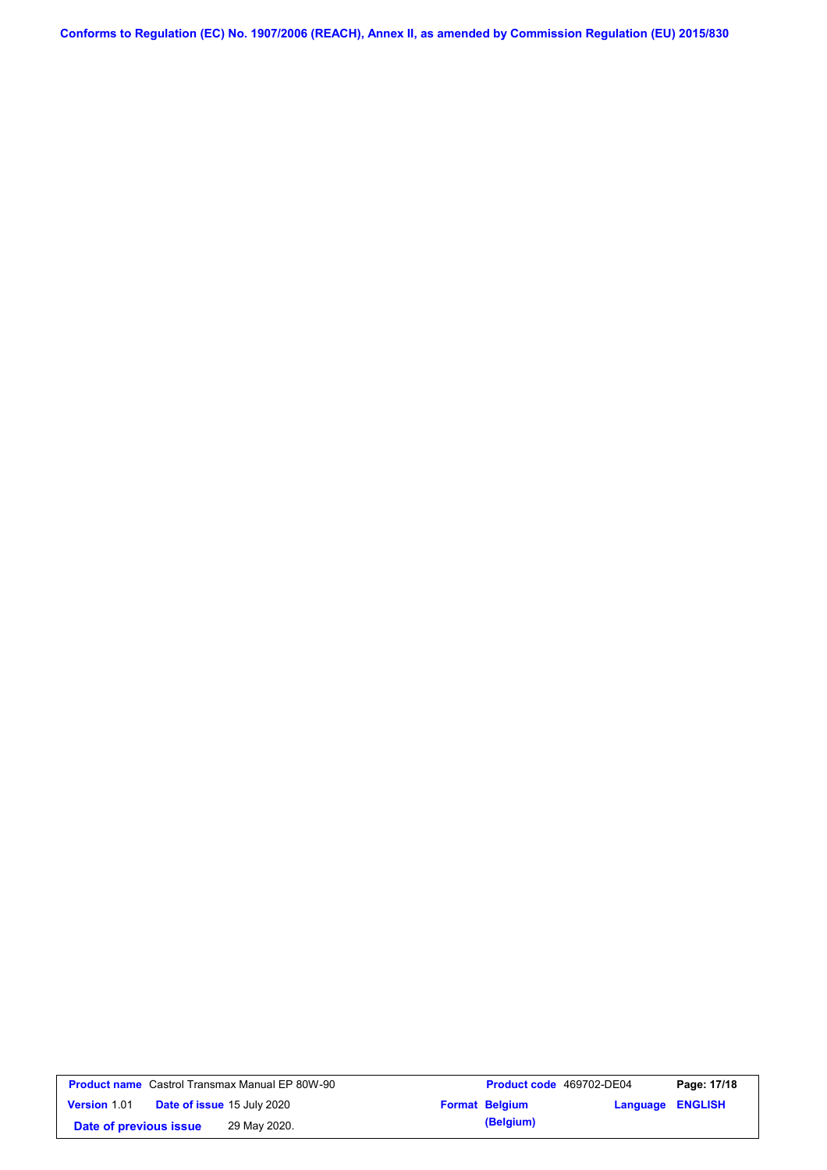| <b>Product name</b> Castrol Transmax Manual EP 80W-90 |                                   | Product code 469702-DE04 |                         | Page: 17/18 |
|-------------------------------------------------------|-----------------------------------|--------------------------|-------------------------|-------------|
| <b>Version 1.01</b>                                   | <b>Date of issue 15 July 2020</b> | <b>Format Belgium</b>    | <b>Language ENGLISH</b> |             |
| Date of previous issue                                | 29 May 2020.                      | (Belgium)                |                         |             |